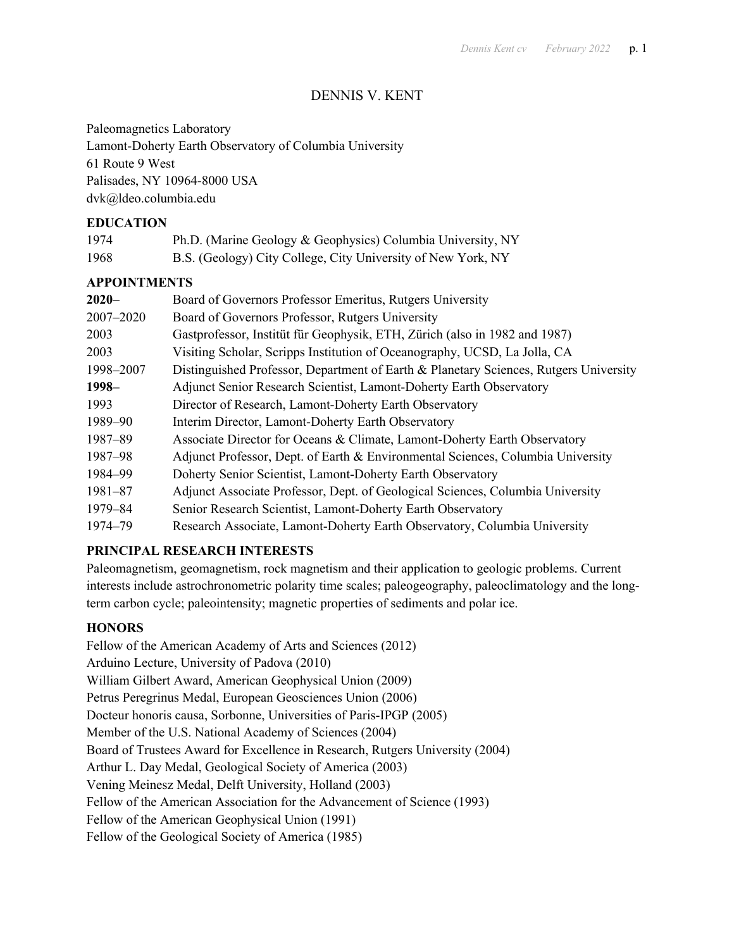# DENNIS V. KENT

Paleomagnetics Laboratory Lamont-Doherty Earth Observatory of Columbia University 61 Route 9 West Palisades, NY 10964-8000 USA dvk@ldeo.columbia.edu

## **EDUCATION**

| 1974 | Ph.D. (Marine Geology & Geophysics) Columbia University, NY  |
|------|--------------------------------------------------------------|
| 1968 | B.S. (Geology) City College, City University of New York, NY |

## **APPOINTMENTS**

| $2020 -$    | Board of Governors Professor Emeritus, Rutgers University                             |
|-------------|---------------------------------------------------------------------------------------|
| 2007-2020   | Board of Governors Professor, Rutgers University                                      |
| 2003        | Gastprofessor, Institüt für Geophysik, ETH, Zürich (also in 1982 and 1987)            |
| 2003        | Visiting Scholar, Scripps Institution of Oceanography, UCSD, La Jolla, CA             |
| 1998-2007   | Distinguished Professor, Department of Earth & Planetary Sciences, Rutgers University |
| $1998 -$    | Adjunct Senior Research Scientist, Lamont-Doherty Earth Observatory                   |
| 1993        | Director of Research, Lamont-Doherty Earth Observatory                                |
| 1989-90     | Interim Director, Lamont-Doherty Earth Observatory                                    |
| 1987-89     | Associate Director for Oceans & Climate, Lamont-Doherty Earth Observatory             |
| 1987-98     | Adjunct Professor, Dept. of Earth & Environmental Sciences, Columbia University       |
| 1984-99     | Doherty Senior Scientist, Lamont-Doherty Earth Observatory                            |
| $1981 - 87$ | Adjunct Associate Professor, Dept. of Geological Sciences, Columbia University        |
| 1979-84     | Senior Research Scientist, Lamont-Doherty Earth Observatory                           |
| 1974-79     | Research Associate, Lamont-Doherty Earth Observatory, Columbia University             |

# **PRINCIPAL RESEARCH INTERESTS**

Paleomagnetism, geomagnetism, rock magnetism and their application to geologic problems. Current interests include astrochronometric polarity time scales; paleogeography, paleoclimatology and the longterm carbon cycle; paleointensity; magnetic properties of sediments and polar ice.

# **HONORS**

Fellow of the American Academy of Arts and Sciences (2012) Arduino Lecture, University of Padova (2010) William Gilbert Award, American Geophysical Union (2009) Petrus Peregrinus Medal, European Geosciences Union (2006) Docteur honoris causa, Sorbonne, Universities of Paris-IPGP (2005) Member of the U.S. National Academy of Sciences (2004) Board of Trustees Award for Excellence in Research, Rutgers University (2004) Arthur L. Day Medal, Geological Society of America (2003) Vening Meinesz Medal, Delft University, Holland (2003) Fellow of the American Association for the Advancement of Science (1993) Fellow of the American Geophysical Union (1991) Fellow of the Geological Society of America (1985)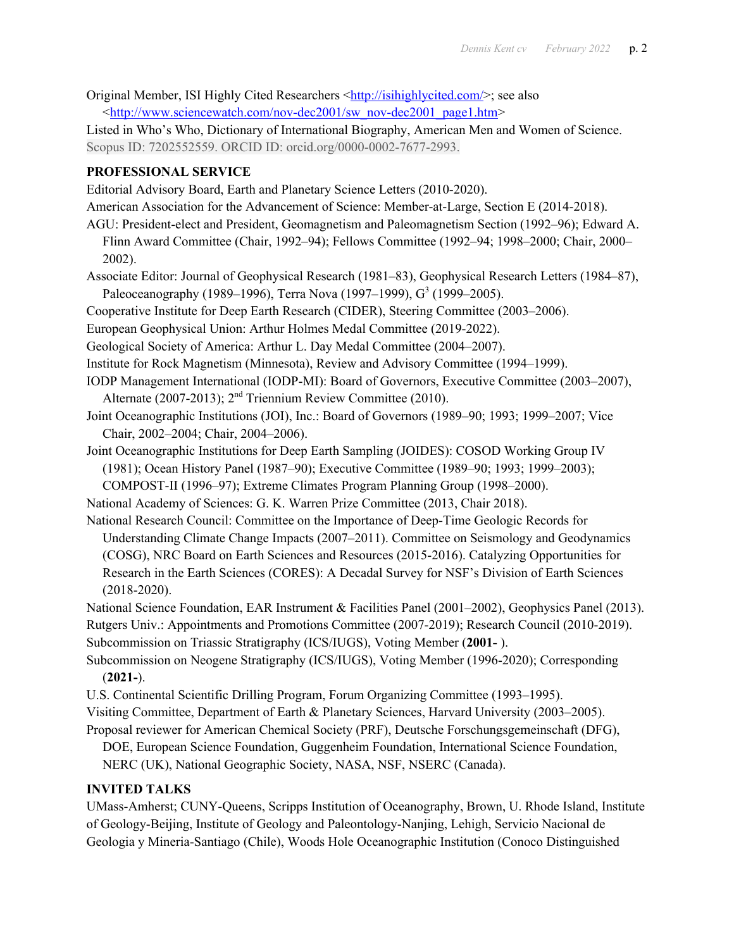Original Member, ISI Highly Cited Researchers <http://isihighlycited.com/>; see also <http://www.sciencewatch.com/nov-dec2001/sw\_nov-dec2001\_page1.htm>

Listed in Who's Who, Dictionary of International Biography, American Men and Women of Science. Scopus ID: 7202552559. ORCID ID: orcid.org/0000-0002-7677-2993.

# **PROFESSIONAL SERVICE**

Editorial Advisory Board, Earth and Planetary Science Letters (2010-2020).

American Association for the Advancement of Science: Member-at-Large, Section E (2014-2018).

AGU: President-elect and President, Geomagnetism and Paleomagnetism Section (1992–96); Edward A. Flinn Award Committee (Chair, 1992–94); Fellows Committee (1992–94; 1998–2000; Chair, 2000– 2002).

- Associate Editor: Journal of Geophysical Research (1981–83), Geophysical Research Letters (1984–87), Paleoceanography (1989–1996), Terra Nova (1997–1999),  $G^3$  (1999–2005).
- Cooperative Institute for Deep Earth Research (CIDER), Steering Committee (2003–2006).
- European Geophysical Union: Arthur Holmes Medal Committee (2019-2022).
- Geological Society of America: Arthur L. Day Medal Committee (2004–2007).
- Institute for Rock Magnetism (Minnesota), Review and Advisory Committee (1994–1999).
- IODP Management International (IODP-MI): Board of Governors, Executive Committee (2003–2007), Alternate (2007-2013);  $2<sup>nd</sup>$  Triennium Review Committee (2010).
- Joint Oceanographic Institutions (JOI), Inc.: Board of Governors (1989–90; 1993; 1999–2007; Vice Chair, 2002–2004; Chair, 2004–2006).
- Joint Oceanographic Institutions for Deep Earth Sampling (JOIDES): COSOD Working Group IV (1981); Ocean History Panel (1987–90); Executive Committee (1989–90; 1993; 1999–2003); COMPOST-II (1996–97); Extreme Climates Program Planning Group (1998–2000).
- National Academy of Sciences: G. K. Warren Prize Committee (2013, Chair 2018).

National Research Council: Committee on the Importance of Deep-Time Geologic Records for Understanding Climate Change Impacts (2007–2011). Committee on Seismology and Geodynamics (COSG), NRC Board on Earth Sciences and Resources (2015-2016). Catalyzing Opportunities for Research in the Earth Sciences (CORES): A Decadal Survey for NSF's Division of Earth Sciences (2018-2020).

National Science Foundation, EAR Instrument & Facilities Panel (2001–2002), Geophysics Panel (2013). Rutgers Univ.: Appointments and Promotions Committee (2007-2019); Research Council (2010-2019).

Subcommission on Triassic Stratigraphy (ICS/IUGS), Voting Member (**2001-** ). Subcommission on Neogene Stratigraphy (ICS/IUGS), Voting Member (1996-2020); Corresponding

(**2021-**).

- U.S. Continental Scientific Drilling Program, Forum Organizing Committee (1993–1995).
- Visiting Committee, Department of Earth & Planetary Sciences, Harvard University (2003–2005). Proposal reviewer for American Chemical Society (PRF), Deutsche Forschungsgemeinschaft (DFG),

DOE, European Science Foundation, Guggenheim Foundation, International Science Foundation, NERC (UK), National Geographic Society, NASA, NSF, NSERC (Canada).

# **INVITED TALKS**

UMass-Amherst; CUNY-Queens, Scripps Institution of Oceanography, Brown, U. Rhode Island, Institute of Geology-Beijing, Institute of Geology and Paleontology-Nanjing, Lehigh, Servicio Nacional de Geologia y Mineria-Santiago (Chile), Woods Hole Oceanographic Institution (Conoco Distinguished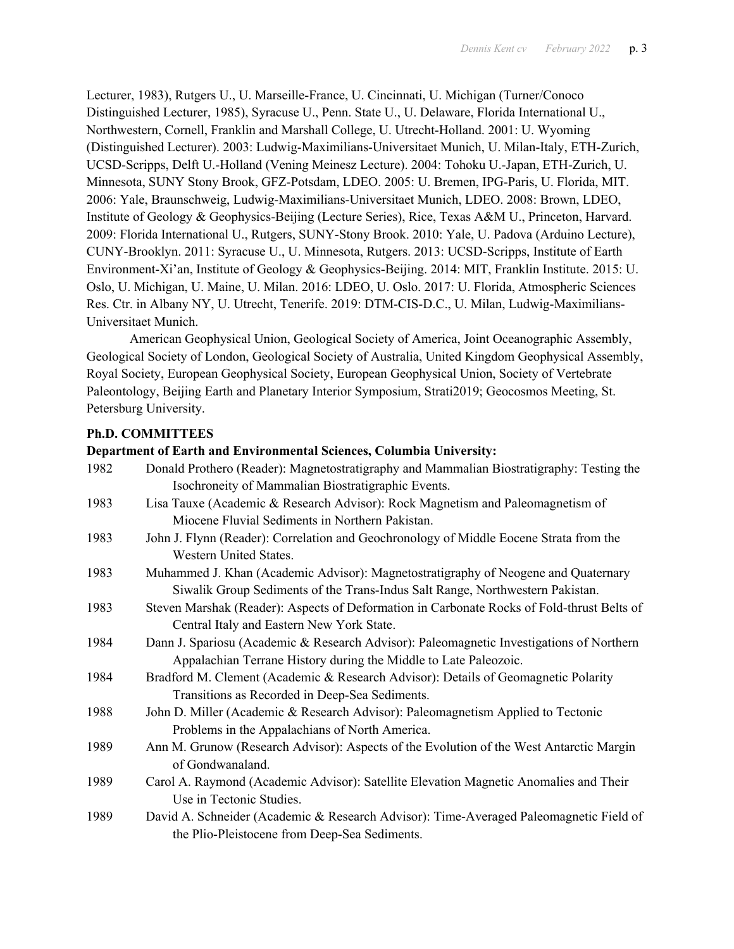Lecturer, 1983), Rutgers U., U. Marseille-France, U. Cincinnati, U. Michigan (Turner/Conoco Distinguished Lecturer, 1985), Syracuse U., Penn. State U., U. Delaware, Florida International U., Northwestern, Cornell, Franklin and Marshall College, U. Utrecht-Holland. 2001: U. Wyoming (Distinguished Lecturer). 2003: Ludwig-Maximilians-Universitaet Munich, U. Milan-Italy, ETH-Zurich, UCSD-Scripps, Delft U.-Holland (Vening Meinesz Lecture). 2004: Tohoku U.-Japan, ETH-Zurich, U. Minnesota, SUNY Stony Brook, GFZ-Potsdam, LDEO. 2005: U. Bremen, IPG-Paris, U. Florida, MIT. 2006: Yale, Braunschweig, Ludwig-Maximilians-Universitaet Munich, LDEO. 2008: Brown, LDEO, Institute of Geology & Geophysics-Beijing (Lecture Series), Rice, Texas A&M U., Princeton, Harvard. 2009: Florida International U., Rutgers, SUNY-Stony Brook. 2010: Yale, U. Padova (Arduino Lecture), CUNY-Brooklyn. 2011: Syracuse U., U. Minnesota, Rutgers. 2013: UCSD-Scripps, Institute of Earth Environment-Xi'an, Institute of Geology & Geophysics-Beijing. 2014: MIT, Franklin Institute. 2015: U. Oslo, U. Michigan, U. Maine, U. Milan. 2016: LDEO, U. Oslo. 2017: U. Florida, Atmospheric Sciences Res. Ctr. in Albany NY, U. Utrecht, Tenerife. 2019: DTM-CIS-D.C., U. Milan, Ludwig-Maximilians-Universitaet Munich.

American Geophysical Union, Geological Society of America, Joint Oceanographic Assembly, Geological Society of London, Geological Society of Australia, United Kingdom Geophysical Assembly, Royal Society, European Geophysical Society, European Geophysical Union, Society of Vertebrate Paleontology, Beijing Earth and Planetary Interior Symposium, Strati2019; Geocosmos Meeting, St. Petersburg University.

## **Ph.D. COMMITTEES**

#### **Department of Earth and Environmental Sciences, Columbia University:**

| 1982 | Donald Prothero (Reader): Magnetostratigraphy and Mammalian Biostratigraphy: Testing the<br>Isochroneity of Mammalian Biostratigraphic Events. |
|------|------------------------------------------------------------------------------------------------------------------------------------------------|
| 1983 | Lisa Tauxe (Academic & Research Advisor): Rock Magnetism and Paleomagnetism of                                                                 |
|      | Miocene Fluvial Sediments in Northern Pakistan.                                                                                                |
| 1983 | John J. Flynn (Reader): Correlation and Geochronology of Middle Eocene Strata from the                                                         |
|      | Western United States.                                                                                                                         |
| 1983 | Muhammed J. Khan (Academic Advisor): Magnetostratigraphy of Neogene and Quaternary                                                             |
|      | Siwalik Group Sediments of the Trans-Indus Salt Range, Northwestern Pakistan.                                                                  |
| 1983 | Steven Marshak (Reader): Aspects of Deformation in Carbonate Rocks of Fold-thrust Belts of                                                     |
|      | Central Italy and Eastern New York State.                                                                                                      |
| 1984 | Dann J. Spariosu (Academic & Research Advisor): Paleomagnetic Investigations of Northern                                                       |
|      | Appalachian Terrane History during the Middle to Late Paleozoic.                                                                               |
| 1984 | Bradford M. Clement (Academic & Research Advisor): Details of Geomagnetic Polarity                                                             |
|      | Transitions as Recorded in Deep-Sea Sediments.                                                                                                 |
| 1988 | John D. Miller (Academic & Research Advisor): Paleomagnetism Applied to Tectonic                                                               |
|      | Problems in the Appalachians of North America.                                                                                                 |
| 1989 | Ann M. Grunow (Research Advisor): Aspects of the Evolution of the West Antarctic Margin                                                        |
|      | of Gondwanaland.                                                                                                                               |
| 1989 | Carol A. Raymond (Academic Advisor): Satellite Elevation Magnetic Anomalies and Their                                                          |
|      | Use in Tectonic Studies.                                                                                                                       |
| 1989 | David A. Schneider (Academic & Research Advisor): Time-Averaged Paleomagnetic Field of                                                         |
|      | the Plio-Pleistocene from Deep-Sea Sediments.                                                                                                  |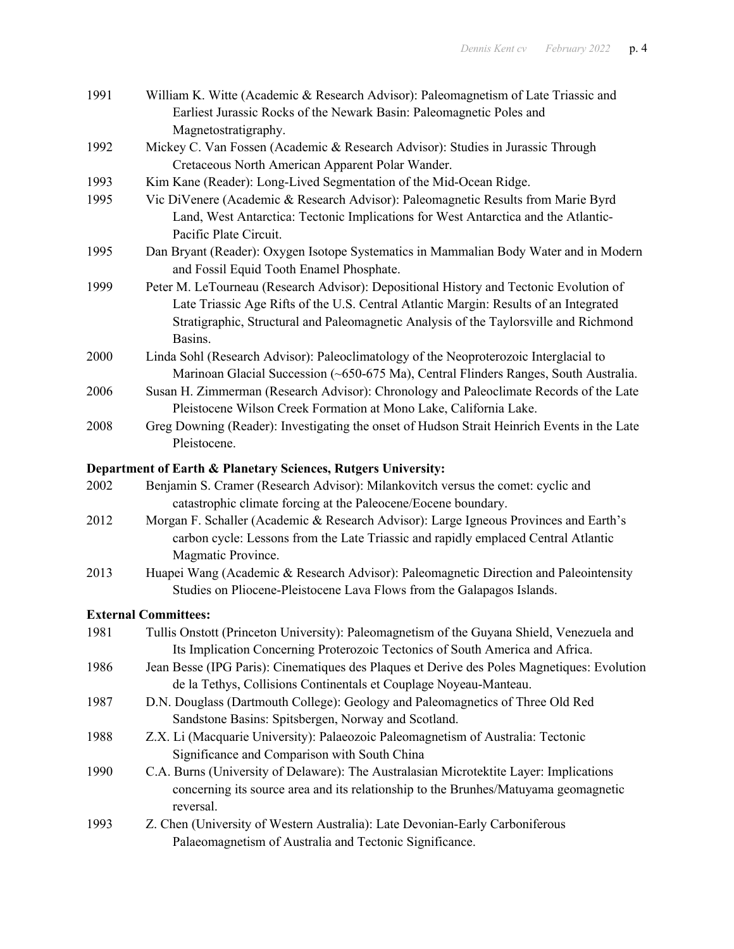| 1991 | William K. Witte (Academic & Research Advisor): Paleomagnetism of Late Triassic and<br>Earliest Jurassic Rocks of the Newark Basin: Paleomagnetic Poles and                                                                                                                         |
|------|-------------------------------------------------------------------------------------------------------------------------------------------------------------------------------------------------------------------------------------------------------------------------------------|
| 1992 | Magnetostratigraphy.<br>Mickey C. Van Fossen (Academic & Research Advisor): Studies in Jurassic Through<br>Cretaceous North American Apparent Polar Wander.                                                                                                                         |
| 1993 | Kim Kane (Reader): Long-Lived Segmentation of the Mid-Ocean Ridge.                                                                                                                                                                                                                  |
| 1995 | Vic DiVenere (Academic & Research Advisor): Paleomagnetic Results from Marie Byrd<br>Land, West Antarctica: Tectonic Implications for West Antarctica and the Atlantic-<br>Pacific Plate Circuit.                                                                                   |
| 1995 | Dan Bryant (Reader): Oxygen Isotope Systematics in Mammalian Body Water and in Modern<br>and Fossil Equid Tooth Enamel Phosphate.                                                                                                                                                   |
| 1999 | Peter M. LeTourneau (Research Advisor): Depositional History and Tectonic Evolution of<br>Late Triassic Age Rifts of the U.S. Central Atlantic Margin: Results of an Integrated<br>Stratigraphic, Structural and Paleomagnetic Analysis of the Taylorsville and Richmond<br>Basins. |
| 2000 | Linda Sohl (Research Advisor): Paleoclimatology of the Neoproterozoic Interglacial to<br>Marinoan Glacial Succession (~650-675 Ma), Central Flinders Ranges, South Australia.                                                                                                       |
| 2006 | Susan H. Zimmerman (Research Advisor): Chronology and Paleoclimate Records of the Late<br>Pleistocene Wilson Creek Formation at Mono Lake, California Lake.                                                                                                                         |
| 2008 | Greg Downing (Reader): Investigating the onset of Hudson Strait Heinrich Events in the Late<br>Pleistocene.                                                                                                                                                                         |
|      | Department of Earth & Planetary Sciences, Rutgers University:                                                                                                                                                                                                                       |
| 2002 | Benjamin S. Cramer (Research Advisor): Milankovitch versus the comet: cyclic and<br>catastrophic climate forcing at the Paleocene/Eocene boundary.                                                                                                                                  |
| 2012 | Morgan F. Schaller (Academic & Research Advisor): Large Igneous Provinces and Earth's<br>carbon cycle: Lessons from the Late Triassic and rapidly emplaced Central Atlantic<br>Magmatic Province.                                                                                   |
| 2013 | Huapei Wang (Academic & Research Advisor): Paleomagnetic Direction and Paleointensity<br>Studies on Pliocene-Pleistocene Lava Flows from the Galapagos Islands.                                                                                                                     |
|      | <b>External Committees:</b>                                                                                                                                                                                                                                                         |
| 1981 | Tullis Onstott (Princeton University): Paleomagnetism of the Guyana Shield, Venezuela and<br>Its Implication Concerning Proterozoic Tectonics of South America and Africa.                                                                                                          |
| 1986 | Jean Besse (IPG Paris): Cinematiques des Plaques et Derive des Poles Magnetiques: Evolution<br>de la Tethys, Collisions Continentals et Couplage Noyeau-Manteau.                                                                                                                    |
| 1987 | D.N. Douglass (Dartmouth College): Geology and Paleomagnetics of Three Old Red<br>Sandstone Basins: Spitsbergen, Norway and Scotland.                                                                                                                                               |
| 1988 | Z.X. Li (Macquarie University): Palaeozoic Paleomagnetism of Australia: Tectonic<br>Significance and Comparison with South China                                                                                                                                                    |
| 1990 | C.A. Burns (University of Delaware): The Australasian Microtektite Layer: Implications<br>concerning its source area and its relationship to the Brunhes/Matuyama geomagnetic<br>reversal.                                                                                          |
| 1993 | Z. Chen (University of Western Australia): Late Devonian-Early Carboniferous<br>Palaeomagnetism of Australia and Tectonic Significance.                                                                                                                                             |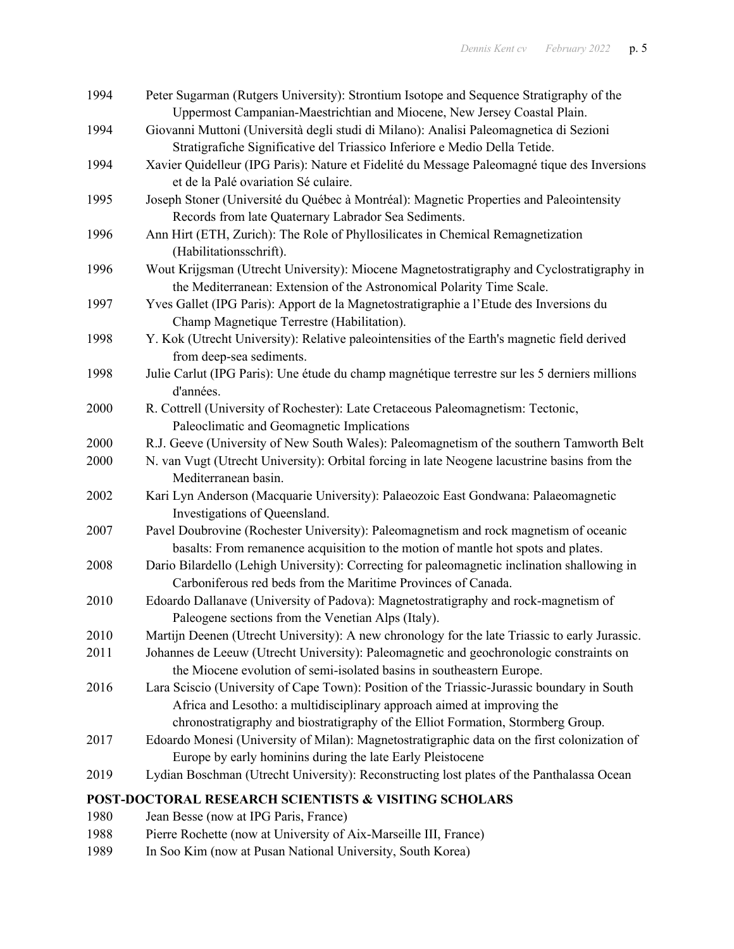| 1994 | Peter Sugarman (Rutgers University): Strontium Isotope and Sequence Stratigraphy of the        |
|------|------------------------------------------------------------------------------------------------|
|      | Uppermost Campanian-Maestrichtian and Miocene, New Jersey Coastal Plain.                       |
| 1994 | Giovanni Muttoni (Università degli studi di Milano): Analisi Paleomagnetica di Sezioni         |
|      | Stratigrafiche Significative del Triassico Inferiore e Medio Della Tetide.                     |
| 1994 | Xavier Quidelleur (IPG Paris): Nature et Fidelité du Message Paleomagné tique des Inversions   |
|      | et de la Palé ovariation Sé culaire.                                                           |
| 1995 | Joseph Stoner (Université du Québec à Montréal): Magnetic Properties and Paleointensity        |
|      | Records from late Quaternary Labrador Sea Sediments.                                           |
| 1996 | Ann Hirt (ETH, Zurich): The Role of Phyllosilicates in Chemical Remagnetization                |
|      | (Habilitationsschrift).                                                                        |
| 1996 | Wout Krijgsman (Utrecht University): Miocene Magnetostratigraphy and Cyclostratigraphy in      |
|      | the Mediterranean: Extension of the Astronomical Polarity Time Scale.                          |
| 1997 | Yves Gallet (IPG Paris): Apport de la Magnetostratigraphie a l'Etude des Inversions du         |
|      | Champ Magnetique Terrestre (Habilitation).                                                     |
| 1998 | Y. Kok (Utrecht University): Relative paleointensities of the Earth's magnetic field derived   |
|      | from deep-sea sediments.                                                                       |
| 1998 | Julie Carlut (IPG Paris): Une étude du champ magnétique terrestre sur les 5 derniers millions  |
|      | d'années.                                                                                      |
| 2000 | R. Cottrell (University of Rochester): Late Cretaceous Paleomagnetism: Tectonic,               |
|      | Paleoclimatic and Geomagnetic Implications                                                     |
| 2000 | R.J. Geeve (University of New South Wales): Paleomagnetism of the southern Tamworth Belt       |
| 2000 | N. van Vugt (Utrecht University): Orbital forcing in late Neogene lacustrine basins from the   |
|      | Mediterranean basin.                                                                           |
| 2002 | Kari Lyn Anderson (Macquarie University): Palaeozoic East Gondwana: Palaeomagnetic             |
|      | Investigations of Queensland.                                                                  |
| 2007 | Pavel Doubrovine (Rochester University): Paleomagnetism and rock magnetism of oceanic          |
|      | basalts: From remanence acquisition to the motion of mantle hot spots and plates.              |
| 2008 | Dario Bilardello (Lehigh University): Correcting for paleomagnetic inclination shallowing in   |
|      | Carboniferous red beds from the Maritime Provinces of Canada.                                  |
| 2010 | Edoardo Dallanave (University of Padova): Magnetostratigraphy and rock-magnetism of            |
|      | Paleogene sections from the Venetian Alps (Italy).                                             |
| 2010 | Martijn Deenen (Utrecht University): A new chronology for the late Triassic to early Jurassic. |
| 2011 | Johannes de Leeuw (Utrecht University): Paleomagnetic and geochronologic constraints on        |
|      | the Miocene evolution of semi-isolated basins in southeastern Europe.                          |
| 2016 | Lara Sciscio (University of Cape Town): Position of the Triassic-Jurassic boundary in South    |
|      | Africa and Lesotho: a multidisciplinary approach aimed at improving the                        |
|      | chronostratigraphy and biostratigraphy of the Elliot Formation, Stormberg Group.               |
| 2017 | Edoardo Monesi (University of Milan): Magnetostratigraphic data on the first colonization of   |
|      | Europe by early hominins during the late Early Pleistocene                                     |
| 2019 | Lydian Boschman (Utrecht University): Reconstructing lost plates of the Panthalassa Ocean      |
|      | POST-DOCTORAL RESEARCH SCIENTISTS & VISITING SCHOLARS                                          |
| 1980 | Jean Besse (now at IPG Paris, France)                                                          |

- 1988 Pierre Rochette (now at University of Aix-Marseille III, France)<br>1989 In Soo Kim (now at Pusan National University, South Korea)
- In Soo Kim (now at Pusan National University, South Korea)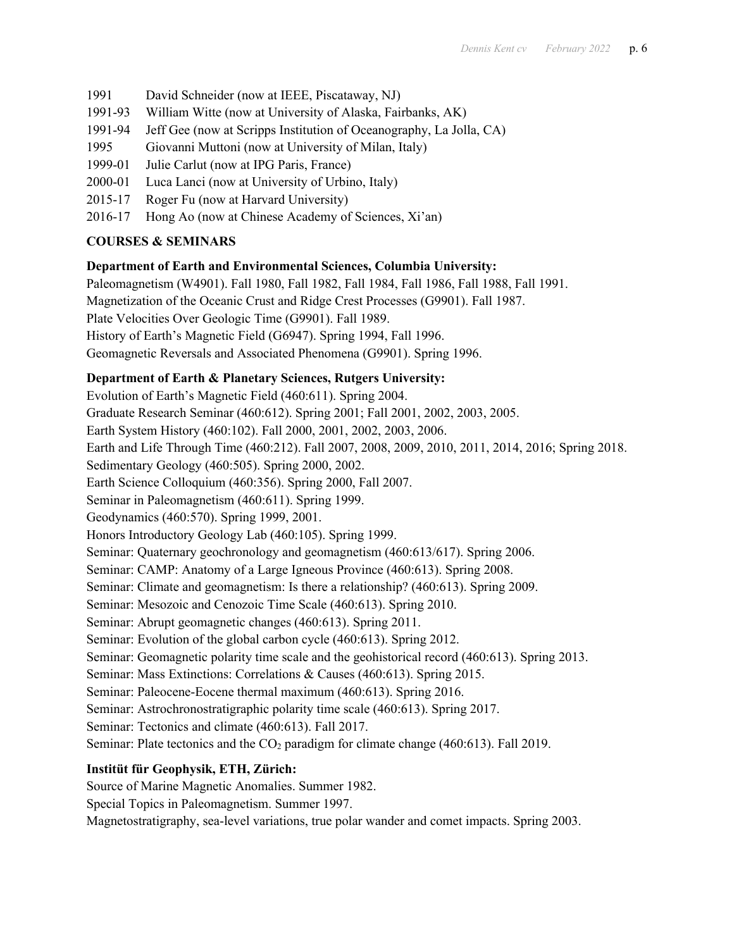- 1991 David Schneider (now at IEEE, Piscataway, NJ)
- 1991-93 William Witte (now at University of Alaska, Fairbanks, AK)
- 1991-94 Jeff Gee (now at Scripps Institution of Oceanography, La Jolla, CA)
- 1995 Giovanni Muttoni (now at University of Milan, Italy)
- 1999-01 Julie Carlut (now at IPG Paris, France)
- 2000-01 Luca Lanci (now at University of Urbino, Italy)
- 2015-17 Roger Fu (now at Harvard University)
- 2016-17 Hong Ao (now at Chinese Academy of Sciences, Xi'an)

## **COURSES & SEMINARS**

### **Department of Earth and Environmental Sciences, Columbia University:**

Paleomagnetism (W4901). Fall 1980, Fall 1982, Fall 1984, Fall 1986, Fall 1988, Fall 1991. Magnetization of the Oceanic Crust and Ridge Crest Processes (G9901). Fall 1987. Plate Velocities Over Geologic Time (G9901). Fall 1989. History of Earth's Magnetic Field (G6947). Spring 1994, Fall 1996. Geomagnetic Reversals and Associated Phenomena (G9901). Spring 1996.

# **Department of Earth & Planetary Sciences, Rutgers University:**

Evolution of Earth's Magnetic Field (460:611). Spring 2004. Graduate Research Seminar (460:612). Spring 2001; Fall 2001, 2002, 2003, 2005. Earth System History (460:102). Fall 2000, 2001, 2002, 2003, 2006. Earth and Life Through Time (460:212). Fall 2007, 2008, 2009, 2010, 2011, 2014, 2016; Spring 2018. Sedimentary Geology (460:505). Spring 2000, 2002. Earth Science Colloquium (460:356). Spring 2000, Fall 2007. Seminar in Paleomagnetism (460:611). Spring 1999. Geodynamics (460:570). Spring 1999, 2001. Honors Introductory Geology Lab (460:105). Spring 1999. Seminar: Quaternary geochronology and geomagnetism (460:613/617). Spring 2006. Seminar: CAMP: Anatomy of a Large Igneous Province (460:613). Spring 2008. Seminar: Climate and geomagnetism: Is there a relationship? (460:613). Spring 2009. Seminar: Mesozoic and Cenozoic Time Scale (460:613). Spring 2010. Seminar: Abrupt geomagnetic changes (460:613). Spring 2011. Seminar: Evolution of the global carbon cycle (460:613). Spring 2012. Seminar: Geomagnetic polarity time scale and the geohistorical record (460:613). Spring 2013. Seminar: Mass Extinctions: Correlations & Causes (460:613). Spring 2015. Seminar: Paleocene-Eocene thermal maximum (460:613). Spring 2016. Seminar: Astrochronostratigraphic polarity time scale (460:613). Spring 2017. Seminar: Tectonics and climate (460:613). Fall 2017. Seminar: Plate tectonics and the CO<sub>2</sub> paradigm for climate change (460:613). Fall 2019.

# **Institüt für Geophysik, ETH, Zürich:**

Source of Marine Magnetic Anomalies. Summer 1982.

Special Topics in Paleomagnetism. Summer 1997.

Magnetostratigraphy, sea-level variations, true polar wander and comet impacts. Spring 2003.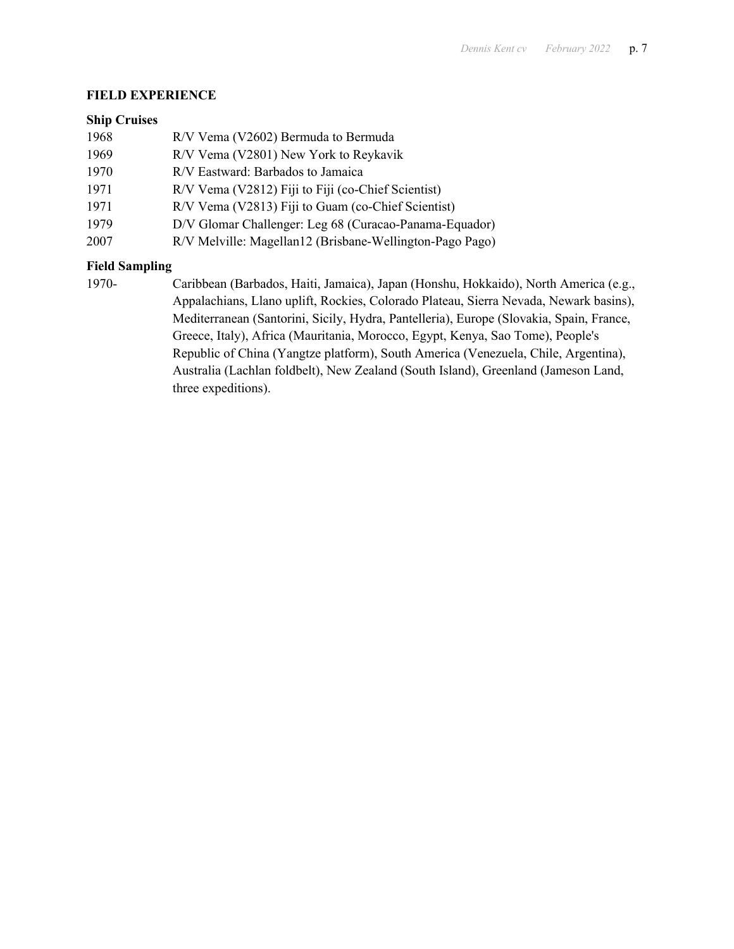## **FIELD EXPERIENCE**

### **Ship Cruises**

| 1968 | R/V Vema (V2602) Bermuda to Bermuda                      |
|------|----------------------------------------------------------|
| 1969 | R/V Vema (V2801) New York to Reykavik                    |
| 1970 | R/V Eastward: Barbados to Jamaica                        |
| 1971 | R/V Vema (V2812) Fiji to Fiji (co-Chief Scientist)       |
| 1971 | R/V Vema (V2813) Fiji to Guam (co-Chief Scientist)       |
| 1979 | D/V Glomar Challenger: Leg 68 (Curacao-Panama-Equador)   |
| 2007 | R/V Melville: Magellan12 (Brisbane-Wellington-Pago Pago) |
|      |                                                          |

# **Field Sampling**

1970- Caribbean (Barbados, Haiti, Jamaica), Japan (Honshu, Hokkaido), North America (e.g., Appalachians, Llano uplift, Rockies, Colorado Plateau, Sierra Nevada, Newark basins), Mediterranean (Santorini, Sicily, Hydra, Pantelleria), Europe (Slovakia, Spain, France, Greece, Italy), Africa (Mauritania, Morocco, Egypt, Kenya, Sao Tome), People's Republic of China (Yangtze platform), South America (Venezuela, Chile, Argentina), Australia (Lachlan foldbelt), New Zealand (South Island), Greenland (Jameson Land, three expeditions).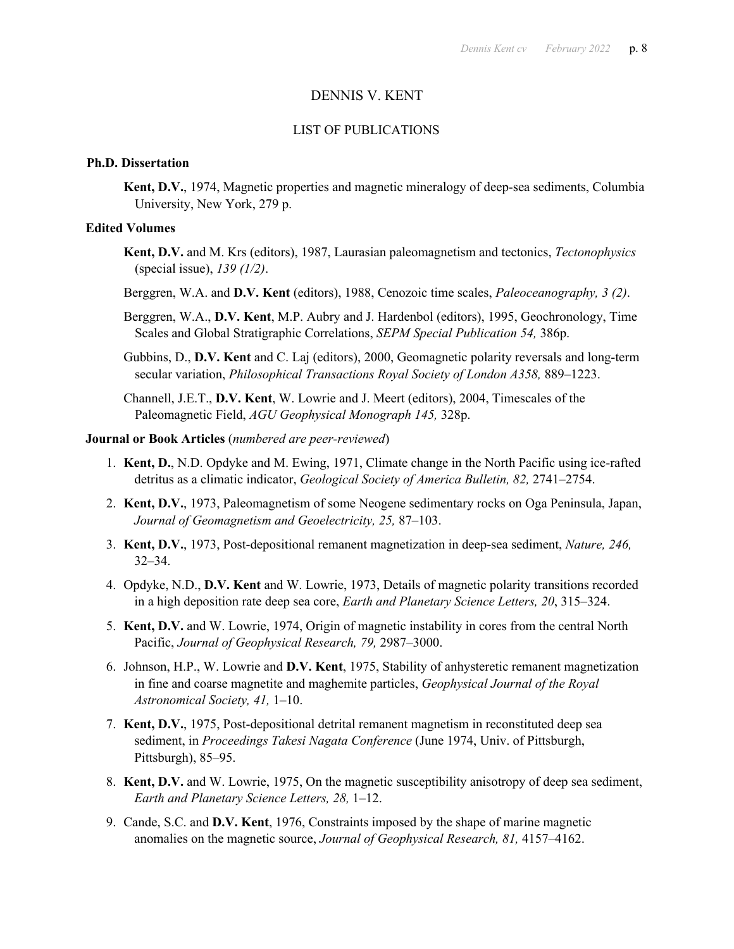### DENNIS V. KENT

#### LIST OF PUBLICATIONS

#### **Ph.D. Dissertation**

**Kent, D.V.**, 1974, Magnetic properties and magnetic mineralogy of deep-sea sediments, Columbia University, New York, 279 p.

#### **Edited Volumes**

- **Kent, D.V.** and M. Krs (editors), 1987, Laurasian paleomagnetism and tectonics, *Tectonophysics*  (special issue), *139 (1/2)*.
- Berggren, W.A. and **D.V. Kent** (editors), 1988, Cenozoic time scales, *Paleoceanography, 3 (2)*.
- Berggren, W.A., **D.V. Kent**, M.P. Aubry and J. Hardenbol (editors), 1995, Geochronology, Time Scales and Global Stratigraphic Correlations, *SEPM Special Publication 54,* 386p.
- Gubbins, D., **D.V. Kent** and C. Laj (editors), 2000, Geomagnetic polarity reversals and long-term secular variation, *Philosophical Transactions Royal Society of London A358,* 889–1223.

Channell, J.E.T., **D.V. Kent**, W. Lowrie and J. Meert (editors), 2004, Timescales of the Paleomagnetic Field, *AGU Geophysical Monograph 145,* 328p.

#### **Journal or Book Articles** (*numbered are peer-reviewed*)

- 1. **Kent, D.**, N.D. Opdyke and M. Ewing, 1971, Climate change in the North Pacific using ice-rafted detritus as a climatic indicator, *Geological Society of America Bulletin, 82,* 2741–2754.
- 2. **Kent, D.V.**, 1973, Paleomagnetism of some Neogene sedimentary rocks on Oga Peninsula, Japan, *Journal of Geomagnetism and Geoelectricity, 25,* 87–103.
- 3. **Kent, D.V.**, 1973, Post-depositional remanent magnetization in deep-sea sediment, *Nature, 246,* 32–34.
- 4. Opdyke, N.D., **D.V. Kent** and W. Lowrie, 1973, Details of magnetic polarity transitions recorded in a high deposition rate deep sea core, *Earth and Planetary Science Letters, 20*, 315–324.
- 5. **Kent, D.V.** and W. Lowrie, 1974, Origin of magnetic instability in cores from the central North Pacific, *Journal of Geophysical Research, 79,* 2987–3000.
- 6. Johnson, H.P., W. Lowrie and **D.V. Kent**, 1975, Stability of anhysteretic remanent magnetization in fine and coarse magnetite and maghemite particles, *Geophysical Journal of the Royal Astronomical Society, 41,* 1–10.
- 7. **Kent, D.V.**, 1975, Post-depositional detrital remanent magnetism in reconstituted deep sea sediment, in *Proceedings Takesi Nagata Conference* (June 1974, Univ. of Pittsburgh, Pittsburgh), 85–95.
- 8. **Kent, D.V.** and W. Lowrie, 1975, On the magnetic susceptibility anisotropy of deep sea sediment, *Earth and Planetary Science Letters, 28,* 1–12.
- 9. Cande, S.C. and **D.V. Kent**, 1976, Constraints imposed by the shape of marine magnetic anomalies on the magnetic source, *Journal of Geophysical Research, 81,* 4157–4162.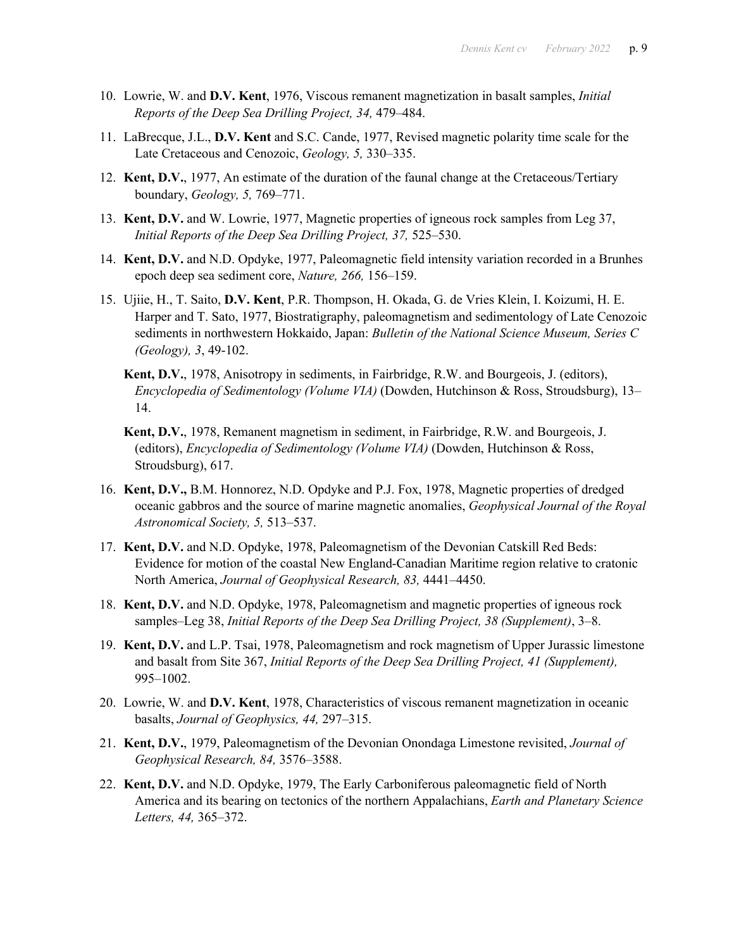- 10. Lowrie, W. and **D.V. Kent**, 1976, Viscous remanent magnetization in basalt samples, *Initial Reports of the Deep Sea Drilling Project, 34,* 479–484.
- 11. LaBrecque, J.L., **D.V. Kent** and S.C. Cande, 1977, Revised magnetic polarity time scale for the Late Cretaceous and Cenozoic, *Geology, 5,* 330–335.
- 12. **Kent, D.V.**, 1977, An estimate of the duration of the faunal change at the Cretaceous/Tertiary boundary, *Geology, 5,* 769–771.
- 13. **Kent, D.V.** and W. Lowrie, 1977, Magnetic properties of igneous rock samples from Leg 37, *Initial Reports of the Deep Sea Drilling Project, 37,* 525–530.
- 14. **Kent, D.V.** and N.D. Opdyke, 1977, Paleomagnetic field intensity variation recorded in a Brunhes epoch deep sea sediment core, *Nature, 266,* 156–159.
- 15. Ujiie, H., T. Saito, **D.V. Kent**, P.R. Thompson, H. Okada, G. de Vries Klein, I. Koizumi, H. E. Harper and T. Sato, 1977, Biostratigraphy, paleomagnetism and sedimentology of Late Cenozoic sediments in northwestern Hokkaido, Japan: *Bulletin of the National Science Museum, Series C (Geology), 3*, 49-102.
	- **Kent, D.V.**, 1978, Anisotropy in sediments, in Fairbridge, R.W. and Bourgeois, J. (editors), *Encyclopedia of Sedimentology (Volume VIA)* (Dowden, Hutchinson & Ross, Stroudsburg), 13– 14.
	- **Kent, D.V.**, 1978, Remanent magnetism in sediment, in Fairbridge, R.W. and Bourgeois, J. (editors), *Encyclopedia of Sedimentology (Volume VIA)* (Dowden, Hutchinson & Ross, Stroudsburg), 617.
- 16. **Kent, D.V.,** B.M. Honnorez, N.D. Opdyke and P.J. Fox, 1978, Magnetic properties of dredged oceanic gabbros and the source of marine magnetic anomalies, *Geophysical Journal of the Royal Astronomical Society, 5,* 513–537.
- 17. **Kent, D.V.** and N.D. Opdyke, 1978, Paleomagnetism of the Devonian Catskill Red Beds: Evidence for motion of the coastal New England-Canadian Maritime region relative to cratonic North America, *Journal of Geophysical Research, 83,* 4441–4450.
- 18. **Kent, D.V.** and N.D. Opdyke, 1978, Paleomagnetism and magnetic properties of igneous rock samples–Leg 38, *Initial Reports of the Deep Sea Drilling Project, 38 (Supplement)*, 3–8.
- 19. **Kent, D.V.** and L.P. Tsai, 1978, Paleomagnetism and rock magnetism of Upper Jurassic limestone and basalt from Site 367, *Initial Reports of the Deep Sea Drilling Project, 41 (Supplement),* 995–1002.
- 20. Lowrie, W. and **D.V. Kent**, 1978, Characteristics of viscous remanent magnetization in oceanic basalts, *Journal of Geophysics, 44,* 297–315.
- 21. **Kent, D.V.**, 1979, Paleomagnetism of the Devonian Onondaga Limestone revisited, *Journal of Geophysical Research, 84,* 3576–3588.
- 22. **Kent, D.V.** and N.D. Opdyke, 1979, The Early Carboniferous paleomagnetic field of North America and its bearing on tectonics of the northern Appalachians, *Earth and Planetary Science Letters, 44,* 365–372.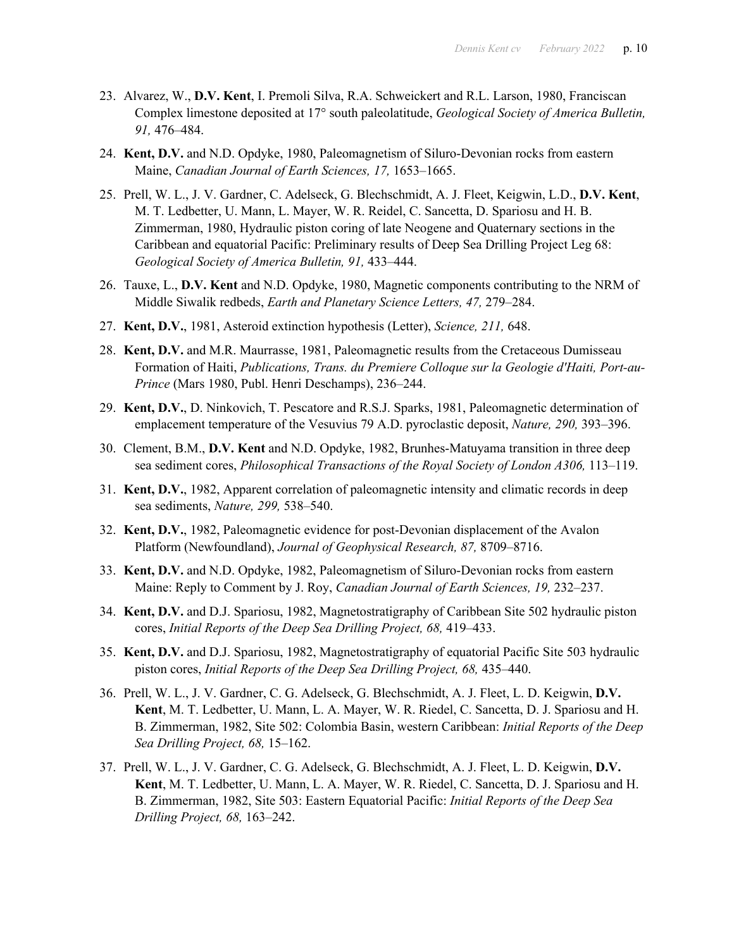- 23. Alvarez, W., **D.V. Kent**, I. Premoli Silva, R.A. Schweickert and R.L. Larson, 1980, Franciscan Complex limestone deposited at 17° south paleolatitude, *Geological Society of America Bulletin, 91,* 476–484.
- 24. **Kent, D.V.** and N.D. Opdyke, 1980, Paleomagnetism of Siluro-Devonian rocks from eastern Maine, *Canadian Journal of Earth Sciences, 17,* 1653–1665.
- 25. Prell, W. L., J. V. Gardner, C. Adelseck, G. Blechschmidt, A. J. Fleet, Keigwin, L.D., **D.V. Kent**, M. T. Ledbetter, U. Mann, L. Mayer, W. R. Reidel, C. Sancetta, D. Spariosu and H. B. Zimmerman, 1980, Hydraulic piston coring of late Neogene and Quaternary sections in the Caribbean and equatorial Pacific: Preliminary results of Deep Sea Drilling Project Leg 68: *Geological Society of America Bulletin, 91,* 433–444.
- 26. Tauxe, L., **D.V. Kent** and N.D. Opdyke, 1980, Magnetic components contributing to the NRM of Middle Siwalik redbeds, *Earth and Planetary Science Letters, 47,* 279–284.
- 27. **Kent, D.V.**, 1981, Asteroid extinction hypothesis (Letter), *Science, 211,* 648.
- 28. **Kent, D.V.** and M.R. Maurrasse, 1981, Paleomagnetic results from the Cretaceous Dumisseau Formation of Haiti, *Publications, Trans. du Premiere Colloque sur la Geologie d'Haiti, Port-au-Prince* (Mars 1980, Publ. Henri Deschamps), 236–244.
- 29. **Kent, D.V.**, D. Ninkovich, T. Pescatore and R.S.J. Sparks, 1981, Paleomagnetic determination of emplacement temperature of the Vesuvius 79 A.D. pyroclastic deposit, *Nature, 290,* 393–396.
- 30. Clement, B.M., **D.V. Kent** and N.D. Opdyke, 1982, Brunhes-Matuyama transition in three deep sea sediment cores, *Philosophical Transactions of the Royal Society of London A306,* 113–119.
- 31. **Kent, D.V.**, 1982, Apparent correlation of paleomagnetic intensity and climatic records in deep sea sediments, *Nature, 299,* 538–540.
- 32. **Kent, D.V.**, 1982, Paleomagnetic evidence for post-Devonian displacement of the Avalon Platform (Newfoundland), *Journal of Geophysical Research, 87,* 8709–8716.
- 33. **Kent, D.V.** and N.D. Opdyke, 1982, Paleomagnetism of Siluro-Devonian rocks from eastern Maine: Reply to Comment by J. Roy, *Canadian Journal of Earth Sciences, 19,* 232–237.
- 34. **Kent, D.V.** and D.J. Spariosu, 1982, Magnetostratigraphy of Caribbean Site 502 hydraulic piston cores, *Initial Reports of the Deep Sea Drilling Project, 68,* 419–433.
- 35. **Kent, D.V.** and D.J. Spariosu, 1982, Magnetostratigraphy of equatorial Pacific Site 503 hydraulic piston cores, *Initial Reports of the Deep Sea Drilling Project, 68,* 435–440.
- 36. Prell, W. L., J. V. Gardner, C. G. Adelseck, G. Blechschmidt, A. J. Fleet, L. D. Keigwin, **D.V. Kent**, M. T. Ledbetter, U. Mann, L. A. Mayer, W. R. Riedel, C. Sancetta, D. J. Spariosu and H. B. Zimmerman, 1982, Site 502: Colombia Basin, western Caribbean: *Initial Reports of the Deep Sea Drilling Project, 68,* 15–162.
- 37. Prell, W. L., J. V. Gardner, C. G. Adelseck, G. Blechschmidt, A. J. Fleet, L. D. Keigwin, **D.V. Kent**, M. T. Ledbetter, U. Mann, L. A. Mayer, W. R. Riedel, C. Sancetta, D. J. Spariosu and H. B. Zimmerman, 1982, Site 503: Eastern Equatorial Pacific: *Initial Reports of the Deep Sea Drilling Project, 68,* 163–242.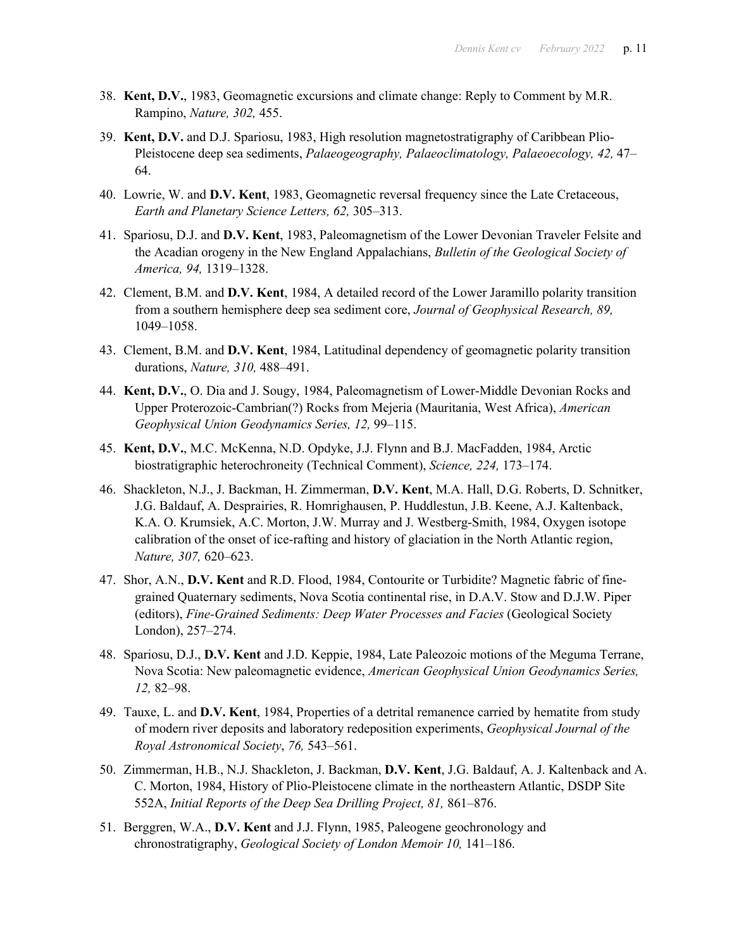- 38. **Kent, D.V.**, 1983, Geomagnetic excursions and climate change: Reply to Comment by M.R. Rampino, *Nature, 302,* 455.
- 39. **Kent, D.V.** and D.J. Spariosu, 1983, High resolution magnetostratigraphy of Caribbean Plio-Pleistocene deep sea sediments, *Palaeogeography, Palaeoclimatology, Palaeoecology, 42,* 47– 64.
- 40. Lowrie, W. and **D.V. Kent**, 1983, Geomagnetic reversal frequency since the Late Cretaceous, *Earth and Planetary Science Letters, 62,* 305–313.
- 41. Spariosu, D.J. and **D.V. Kent**, 1983, Paleomagnetism of the Lower Devonian Traveler Felsite and the Acadian orogeny in the New England Appalachians, *Bulletin of the Geological Society of America, 94,* 1319–1328.
- 42. Clement, B.M. and **D.V. Kent**, 1984, A detailed record of the Lower Jaramillo polarity transition from a southern hemisphere deep sea sediment core, *Journal of Geophysical Research, 89,* 1049–1058.
- 43. Clement, B.M. and **D.V. Kent**, 1984, Latitudinal dependency of geomagnetic polarity transition durations, *Nature, 310,* 488–491.
- 44. **Kent, D.V.**, O. Dia and J. Sougy, 1984, Paleomagnetism of Lower-Middle Devonian Rocks and Upper Proterozoic-Cambrian(?) Rocks from Mejeria (Mauritania, West Africa), *American Geophysical Union Geodynamics Series, 12,* 99–115.
- 45. **Kent, D.V.**, M.C. McKenna, N.D. Opdyke, J.J. Flynn and B.J. MacFadden, 1984, Arctic biostratigraphic heterochroneity (Technical Comment), *Science, 224,* 173–174.
- 46. Shackleton, N.J., J. Backman, H. Zimmerman, **D.V. Kent**, M.A. Hall, D.G. Roberts, D. Schnitker, J.G. Baldauf, A. Desprairies, R. Homrighausen, P. Huddlestun, J.B. Keene, A.J. Kaltenback, K.A. O. Krumsiek, A.C. Morton, J.W. Murray and J. Westberg-Smith, 1984, Oxygen isotope calibration of the onset of ice-rafting and history of glaciation in the North Atlantic region, *Nature, 307,* 620–623.
- 47. Shor, A.N., **D.V. Kent** and R.D. Flood, 1984, Contourite or Turbidite? Magnetic fabric of finegrained Quaternary sediments, Nova Scotia continental rise, in D.A.V. Stow and D.J.W. Piper (editors), *Fine-Grained Sediments: Deep Water Processes and Facies* (Geological Society London), 257–274.
- 48. Spariosu, D.J., **D.V. Kent** and J.D. Keppie, 1984, Late Paleozoic motions of the Meguma Terrane, Nova Scotia: New paleomagnetic evidence, *American Geophysical Union Geodynamics Series, 12,* 82–98.
- 49. Tauxe, L. and **D.V. Kent**, 1984, Properties of a detrital remanence carried by hematite from study of modern river deposits and laboratory redeposition experiments, *Geophysical Journal of the Royal Astronomical Society*, *76,* 543–561.
- 50. Zimmerman, H.B., N.J. Shackleton, J. Backman, **D.V. Kent**, J.G. Baldauf, A. J. Kaltenback and A. C. Morton, 1984, History of Plio-Pleistocene climate in the northeastern Atlantic, DSDP Site 552A, *Initial Reports of the Deep Sea Drilling Project, 81,* 861–876.
- 51. Berggren, W.A., **D.V. Kent** and J.J. Flynn, 1985, Paleogene geochronology and chronostratigraphy, *Geological Society of London Memoir 10,* 141–186.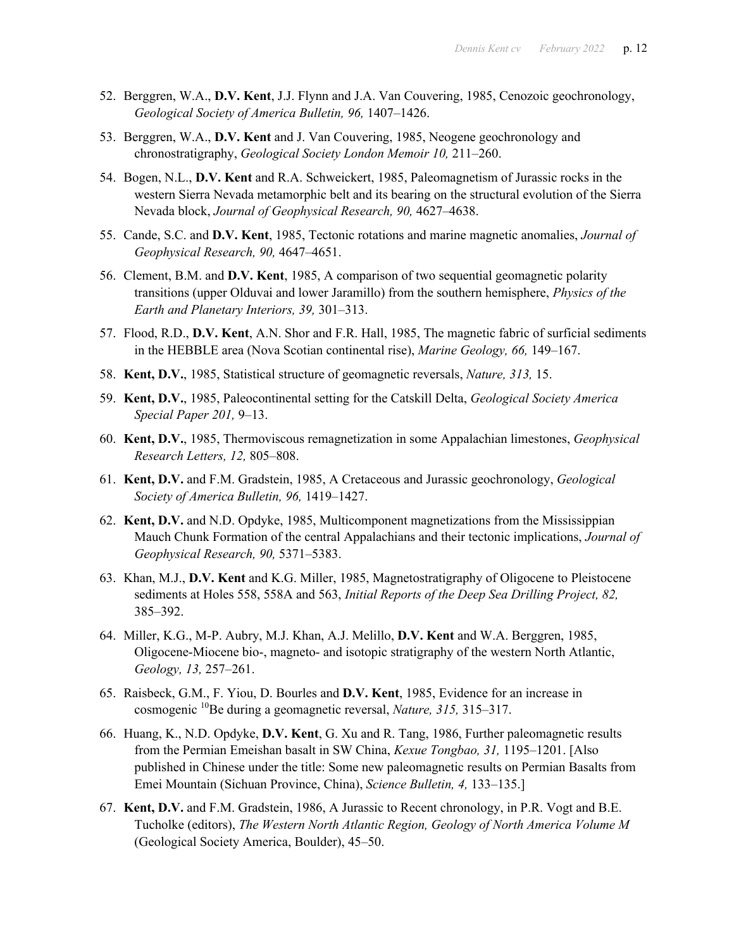- 52. Berggren, W.A., **D.V. Kent**, J.J. Flynn and J.A. Van Couvering, 1985, Cenozoic geochronology, *Geological Society of America Bulletin, 96,* 1407–1426.
- 53. Berggren, W.A., **D.V. Kent** and J. Van Couvering, 1985, Neogene geochronology and chronostratigraphy, *Geological Society London Memoir 10,* 211–260.
- 54. Bogen, N.L., **D.V. Kent** and R.A. Schweickert, 1985, Paleomagnetism of Jurassic rocks in the western Sierra Nevada metamorphic belt and its bearing on the structural evolution of the Sierra Nevada block, *Journal of Geophysical Research, 90,* 4627–4638.
- 55. Cande, S.C. and **D.V. Kent**, 1985, Tectonic rotations and marine magnetic anomalies, *Journal of Geophysical Research, 90,* 4647–4651.
- 56. Clement, B.M. and **D.V. Kent**, 1985, A comparison of two sequential geomagnetic polarity transitions (upper Olduvai and lower Jaramillo) from the southern hemisphere, *Physics of the Earth and Planetary Interiors, 39,* 301–313.
- 57. Flood, R.D., **D.V. Kent**, A.N. Shor and F.R. Hall, 1985, The magnetic fabric of surficial sediments in the HEBBLE area (Nova Scotian continental rise), *Marine Geology, 66,* 149–167.
- 58. **Kent, D.V.**, 1985, Statistical structure of geomagnetic reversals, *Nature, 313,* 15.
- 59. **Kent, D.V.**, 1985, Paleocontinental setting for the Catskill Delta, *Geological Society America Special Paper 201,* 9–13.
- 60. **Kent, D.V.**, 1985, Thermoviscous remagnetization in some Appalachian limestones, *Geophysical Research Letters, 12,* 805–808.
- 61. **Kent, D.V.** and F.M. Gradstein, 1985, A Cretaceous and Jurassic geochronology, *Geological Society of America Bulletin, 96,* 1419–1427.
- 62. **Kent, D.V.** and N.D. Opdyke, 1985, Multicomponent magnetizations from the Mississippian Mauch Chunk Formation of the central Appalachians and their tectonic implications, *Journal of Geophysical Research, 90,* 5371–5383.
- 63. Khan, M.J., **D.V. Kent** and K.G. Miller, 1985, Magnetostratigraphy of Oligocene to Pleistocene sediments at Holes 558, 558A and 563, *Initial Reports of the Deep Sea Drilling Project, 82,* 385–392.
- 64. Miller, K.G., M-P. Aubry, M.J. Khan, A.J. Melillo, **D.V. Kent** and W.A. Berggren, 1985, Oligocene-Miocene bio-, magneto- and isotopic stratigraphy of the western North Atlantic, *Geology, 13,* 257–261.
- 65. Raisbeck, G.M., F. Yiou, D. Bourles and **D.V. Kent**, 1985, Evidence for an increase in cosmogenic 10Be during a geomagnetic reversal, *Nature, 315,* 315–317.
- 66. Huang, K., N.D. Opdyke, **D.V. Kent**, G. Xu and R. Tang, 1986, Further paleomagnetic results from the Permian Emeishan basalt in SW China, *Kexue Tongbao, 31,* 1195–1201. [Also published in Chinese under the title: Some new paleomagnetic results on Permian Basalts from Emei Mountain (Sichuan Province, China), *Science Bulletin, 4,* 133–135.]
- 67. **Kent, D.V.** and F.M. Gradstein, 1986, A Jurassic to Recent chronology, in P.R. Vogt and B.E. Tucholke (editors), *The Western North Atlantic Region, Geology of North America Volume M* (Geological Society America, Boulder), 45–50.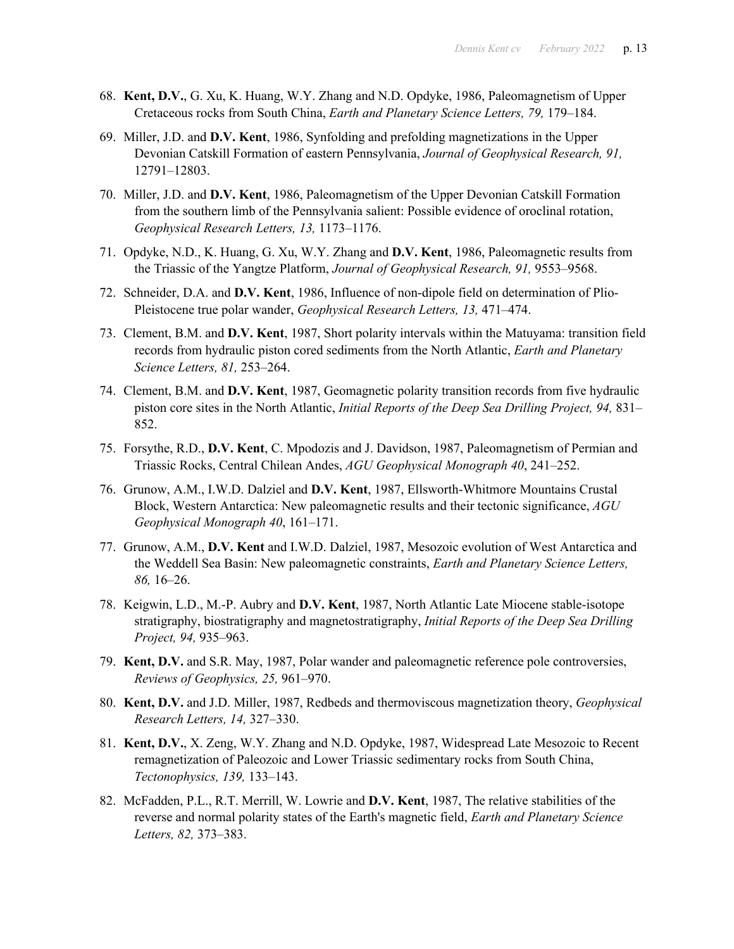- 68. **Kent, D.V.**, G. Xu, K. Huang, W.Y. Zhang and N.D. Opdyke, 1986, Paleomagnetism of Upper Cretaceous rocks from South China, *Earth and Planetary Science Letters, 79,* 179–184.
- 69. Miller, J.D. and **D.V. Kent**, 1986, Synfolding and prefolding magnetizations in the Upper Devonian Catskill Formation of eastern Pennsylvania, *Journal of Geophysical Research, 91,* 12791–12803.
- 70. Miller, J.D. and **D.V. Kent**, 1986, Paleomagnetism of the Upper Devonian Catskill Formation from the southern limb of the Pennsylvania salient: Possible evidence of oroclinal rotation, *Geophysical Research Letters, 13,* 1173–1176.
- 71. Opdyke, N.D., K. Huang, G. Xu, W.Y. Zhang and **D.V. Kent**, 1986, Paleomagnetic results from the Triassic of the Yangtze Platform, *Journal of Geophysical Research, 91,* 9553–9568.
- 72. Schneider, D.A. and **D.V. Kent**, 1986, Influence of non-dipole field on determination of Plio-Pleistocene true polar wander, *Geophysical Research Letters, 13,* 471–474.
- 73. Clement, B.M. and **D.V. Kent**, 1987, Short polarity intervals within the Matuyama: transition field records from hydraulic piston cored sediments from the North Atlantic, *Earth and Planetary Science Letters, 81,* 253–264.
- 74. Clement, B.M. and **D.V. Kent**, 1987, Geomagnetic polarity transition records from five hydraulic piston core sites in the North Atlantic, *Initial Reports of the Deep Sea Drilling Project, 94,* 831– 852.
- 75. Forsythe, R.D., **D.V. Kent**, C. Mpodozis and J. Davidson, 1987, Paleomagnetism of Permian and Triassic Rocks, Central Chilean Andes, *AGU Geophysical Monograph 40*, 241–252.
- 76. Grunow, A.M., I.W.D. Dalziel and **D.V. Kent**, 1987, Ellsworth-Whitmore Mountains Crustal Block, Western Antarctica: New paleomagnetic results and their tectonic significance, *AGU Geophysical Monograph 40*, 161–171.
- 77. Grunow, A.M., **D.V. Kent** and I.W.D. Dalziel, 1987, Mesozoic evolution of West Antarctica and the Weddell Sea Basin: New paleomagnetic constraints, *Earth and Planetary Science Letters, 86,* 16–26.
- 78. Keigwin, L.D., M.-P. Aubry and **D.V. Kent**, 1987, North Atlantic Late Miocene stable-isotope stratigraphy, biostratigraphy and magnetostratigraphy, *Initial Reports of the Deep Sea Drilling Project, 94,* 935–963.
- 79. **Kent, D.V.** and S.R. May, 1987, Polar wander and paleomagnetic reference pole controversies, *Reviews of Geophysics, 25,* 961–970.
- 80. **Kent, D.V.** and J.D. Miller, 1987, Redbeds and thermoviscous magnetization theory, *Geophysical Research Letters, 14,* 327–330.
- 81. **Kent, D.V.**, X. Zeng, W.Y. Zhang and N.D. Opdyke, 1987, Widespread Late Mesozoic to Recent remagnetization of Paleozoic and Lower Triassic sedimentary rocks from South China, *Tectonophysics, 139,* 133–143.
- 82. McFadden, P.L., R.T. Merrill, W. Lowrie and **D.V. Kent**, 1987, The relative stabilities of the reverse and normal polarity states of the Earth's magnetic field, *Earth and Planetary Science Letters, 82,* 373–383.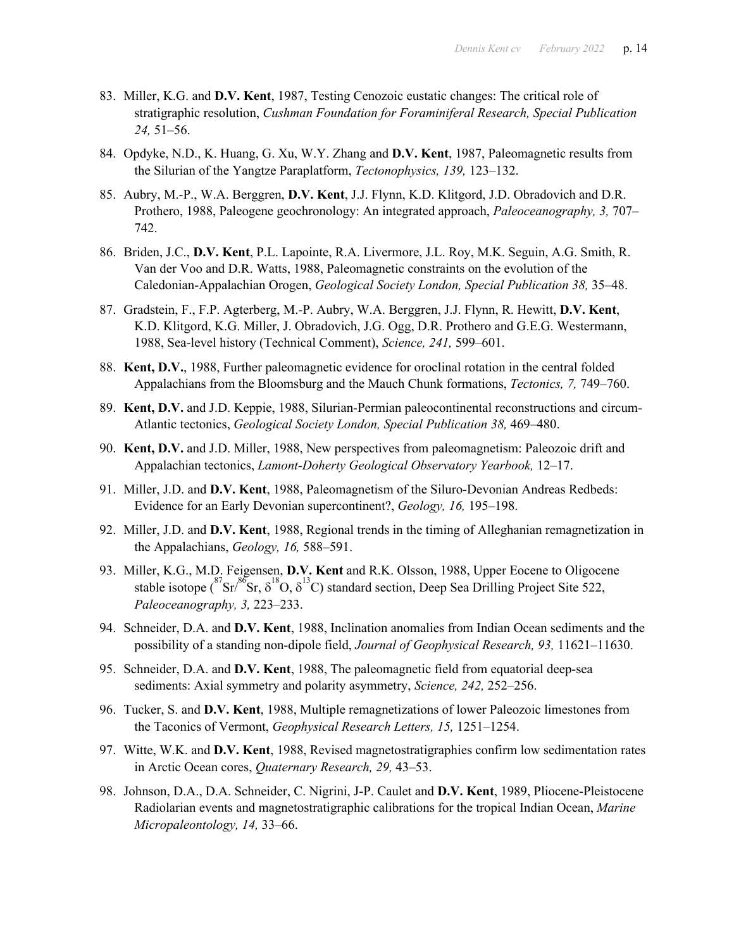- 83. Miller, K.G. and **D.V. Kent**, 1987, Testing Cenozoic eustatic changes: The critical role of stratigraphic resolution, *Cushman Foundation for Foraminiferal Research, Special Publication 24,* 51–56.
- 84. Opdyke, N.D., K. Huang, G. Xu, W.Y. Zhang and **D.V. Kent**, 1987, Paleomagnetic results from the Silurian of the Yangtze Paraplatform, *Tectonophysics, 139,* 123–132.
- 85. Aubry, M.-P., W.A. Berggren, **D.V. Kent**, J.J. Flynn, K.D. Klitgord, J.D. Obradovich and D.R. Prothero, 1988, Paleogene geochronology: An integrated approach, *Paleoceanography, 3,* 707– 742.
- 86. Briden, J.C., **D.V. Kent**, P.L. Lapointe, R.A. Livermore, J.L. Roy, M.K. Seguin, A.G. Smith, R. Van der Voo and D.R. Watts, 1988, Paleomagnetic constraints on the evolution of the Caledonian-Appalachian Orogen, *Geological Society London, Special Publication 38,* 35–48.
- 87. Gradstein, F., F.P. Agterberg, M.-P. Aubry, W.A. Berggren, J.J. Flynn, R. Hewitt, **D.V. Kent**, K.D. Klitgord, K.G. Miller, J. Obradovich, J.G. Ogg, D.R. Prothero and G.E.G. Westermann, 1988, Sea-level history (Technical Comment), *Science, 241,* 599–601.
- 88. **Kent, D.V.**, 1988, Further paleomagnetic evidence for oroclinal rotation in the central folded Appalachians from the Bloomsburg and the Mauch Chunk formations, *Tectonics, 7,* 749–760.
- 89. **Kent, D.V.** and J.D. Keppie, 1988, Silurian-Permian paleocontinental reconstructions and circum-Atlantic tectonics, *Geological Society London, Special Publication 38,* 469–480.
- 90. **Kent, D.V.** and J.D. Miller, 1988, New perspectives from paleomagnetism: Paleozoic drift and Appalachian tectonics, *Lamont-Doherty Geological Observatory Yearbook,* 12–17.
- 91. Miller, J.D. and **D.V. Kent**, 1988, Paleomagnetism of the Siluro-Devonian Andreas Redbeds: Evidence for an Early Devonian supercontinent?, *Geology, 16,* 195–198.
- 92. Miller, J.D. and **D.V. Kent**, 1988, Regional trends in the timing of Alleghanian remagnetization in the Appalachians, *Geology, 16,* 588–591.
- 93. Miller, K.G., M.D. Feigensen, **D.V. Kent** and R.K. Olsson, 1988, Upper Eocene to Oligocene stable isotope  $({}^{87}Sr, \delta^{18}O, \delta^{13}C)$  standard section, Deep Sea Drilling Project Site 522, *Paleoceanography, 3,* 223–233.
- 94. Schneider, D.A. and **D.V. Kent**, 1988, Inclination anomalies from Indian Ocean sediments and the possibility of a standing non-dipole field, *Journal of Geophysical Research, 93,* 11621–11630.
- 95. Schneider, D.A. and **D.V. Kent**, 1988, The paleomagnetic field from equatorial deep-sea sediments: Axial symmetry and polarity asymmetry, *Science, 242,* 252–256.
- 96. Tucker, S. and **D.V. Kent**, 1988, Multiple remagnetizations of lower Paleozoic limestones from the Taconics of Vermont, *Geophysical Research Letters, 15,* 1251–1254.
- 97. Witte, W.K. and **D.V. Kent**, 1988, Revised magnetostratigraphies confirm low sedimentation rates in Arctic Ocean cores, *Quaternary Research, 29,* 43–53.
- 98. Johnson, D.A., D.A. Schneider, C. Nigrini, J-P. Caulet and **D.V. Kent**, 1989, Pliocene-Pleistocene Radiolarian events and magnetostratigraphic calibrations for the tropical Indian Ocean, *Marine Micropaleontology, 14,* 33–66.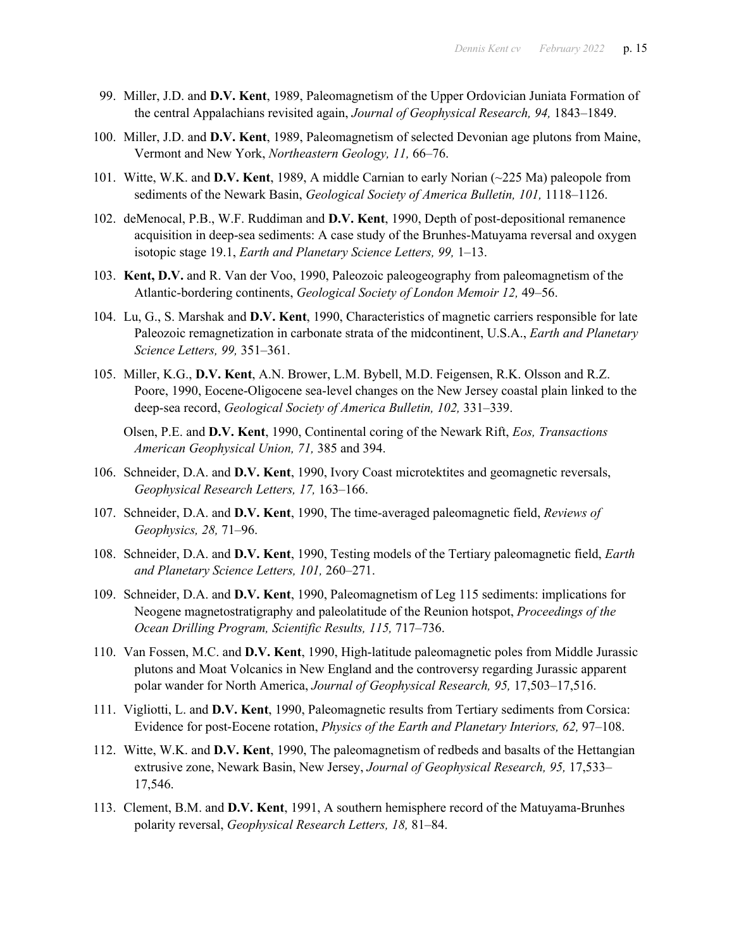- 99. Miller, J.D. and **D.V. Kent**, 1989, Paleomagnetism of the Upper Ordovician Juniata Formation of the central Appalachians revisited again, *Journal of Geophysical Research, 94,* 1843–1849.
- 100. Miller, J.D. and **D.V. Kent**, 1989, Paleomagnetism of selected Devonian age plutons from Maine, Vermont and New York, *Northeastern Geology, 11,* 66–76.
- 101. Witte, W.K. and **D.V. Kent**, 1989, A middle Carnian to early Norian (~225 Ma) paleopole from sediments of the Newark Basin, *Geological Society of America Bulletin, 101,* 1118–1126.
- 102. deMenocal, P.B., W.F. Ruddiman and **D.V. Kent**, 1990, Depth of post-depositional remanence acquisition in deep-sea sediments: A case study of the Brunhes-Matuyama reversal and oxygen isotopic stage 19.1, *Earth and Planetary Science Letters, 99,* 1–13.
- 103. **Kent, D.V.** and R. Van der Voo, 1990, Paleozoic paleogeography from paleomagnetism of the Atlantic-bordering continents, *Geological Society of London Memoir 12,* 49–56.
- 104. Lu, G., S. Marshak and **D.V. Kent**, 1990, Characteristics of magnetic carriers responsible for late Paleozoic remagnetization in carbonate strata of the midcontinent, U.S.A., *Earth and Planetary Science Letters, 99,* 351–361.
- 105. Miller, K.G., **D.V. Kent**, A.N. Brower, L.M. Bybell, M.D. Feigensen, R.K. Olsson and R.Z. Poore, 1990, Eocene-Oligocene sea-level changes on the New Jersey coastal plain linked to the deep-sea record, *Geological Society of America Bulletin, 102,* 331–339.
	- Olsen, P.E. and **D.V. Kent**, 1990, Continental coring of the Newark Rift, *Eos, Transactions American Geophysical Union, 71,* 385 and 394.
- 106. Schneider, D.A. and **D.V. Kent**, 1990, Ivory Coast microtektites and geomagnetic reversals, *Geophysical Research Letters, 17,* 163–166.
- 107. Schneider, D.A. and **D.V. Kent**, 1990, The time-averaged paleomagnetic field, *Reviews of Geophysics, 28,* 71–96.
- 108. Schneider, D.A. and **D.V. Kent**, 1990, Testing models of the Tertiary paleomagnetic field, *Earth and Planetary Science Letters, 101,* 260–271.
- 109. Schneider, D.A. and **D.V. Kent**, 1990, Paleomagnetism of Leg 115 sediments: implications for Neogene magnetostratigraphy and paleolatitude of the Reunion hotspot, *Proceedings of the Ocean Drilling Program, Scientific Results, 115,* 717–736.
- 110. Van Fossen, M.C. and **D.V. Kent**, 1990, High-latitude paleomagnetic poles from Middle Jurassic plutons and Moat Volcanics in New England and the controversy regarding Jurassic apparent polar wander for North America, *Journal of Geophysical Research, 95,* 17,503–17,516.
- 111. Vigliotti, L. and **D.V. Kent**, 1990, Paleomagnetic results from Tertiary sediments from Corsica: Evidence for post-Eocene rotation, *Physics of the Earth and Planetary Interiors, 62,* 97–108.
- 112. Witte, W.K. and **D.V. Kent**, 1990, The paleomagnetism of redbeds and basalts of the Hettangian extrusive zone, Newark Basin, New Jersey, *Journal of Geophysical Research, 95,* 17,533– 17,546.
- 113. Clement, B.M. and **D.V. Kent**, 1991, A southern hemisphere record of the Matuyama-Brunhes polarity reversal, *Geophysical Research Letters, 18,* 81–84.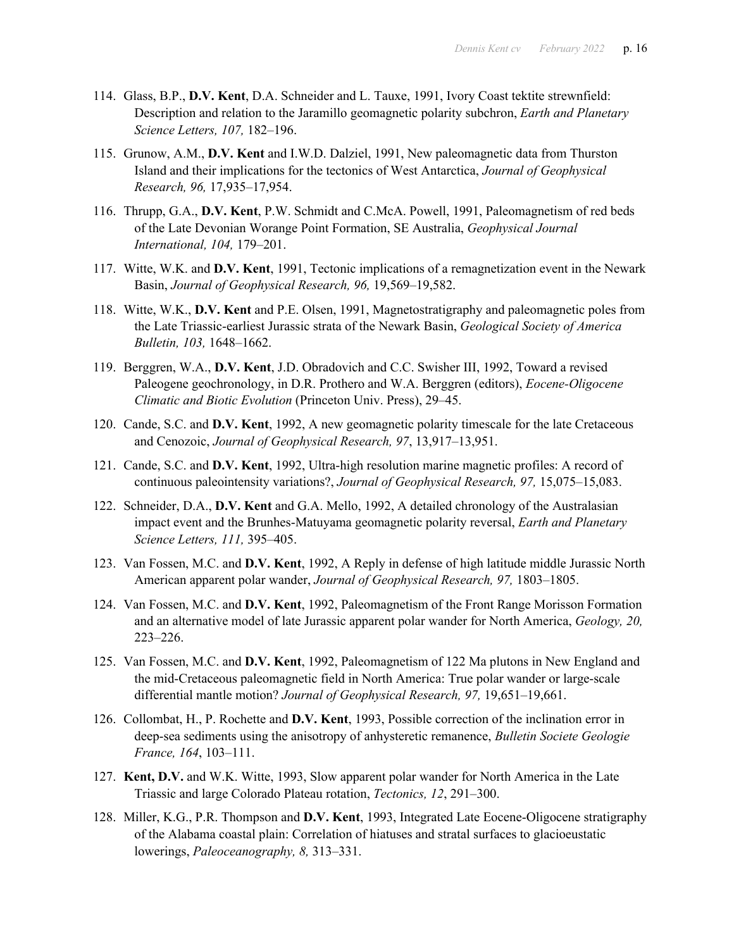- 114. Glass, B.P., **D.V. Kent**, D.A. Schneider and L. Tauxe, 1991, Ivory Coast tektite strewnfield: Description and relation to the Jaramillo geomagnetic polarity subchron, *Earth and Planetary Science Letters, 107,* 182–196.
- 115. Grunow, A.M., **D.V. Kent** and I.W.D. Dalziel, 1991, New paleomagnetic data from Thurston Island and their implications for the tectonics of West Antarctica, *Journal of Geophysical Research, 96,* 17,935–17,954.
- 116. Thrupp, G.A., **D.V. Kent**, P.W. Schmidt and C.McA. Powell, 1991, Paleomagnetism of red beds of the Late Devonian Worange Point Formation, SE Australia, *Geophysical Journal International, 104,* 179–201.
- 117. Witte, W.K. and **D.V. Kent**, 1991, Tectonic implications of a remagnetization event in the Newark Basin, *Journal of Geophysical Research, 96,* 19,569–19,582.
- 118. Witte, W.K., **D.V. Kent** and P.E. Olsen, 1991, Magnetostratigraphy and paleomagnetic poles from the Late Triassic-earliest Jurassic strata of the Newark Basin, *Geological Society of America Bulletin, 103,* 1648–1662.
- 119. Berggren, W.A., **D.V. Kent**, J.D. Obradovich and C.C. Swisher III, 1992, Toward a revised Paleogene geochronology, in D.R. Prothero and W.A. Berggren (editors), *Eocene-Oligocene Climatic and Biotic Evolution* (Princeton Univ. Press), 29–45.
- 120. Cande, S.C. and **D.V. Kent**, 1992, A new geomagnetic polarity timescale for the late Cretaceous and Cenozoic, *Journal of Geophysical Research, 97*, 13,917–13,951.
- 121. Cande, S.C. and **D.V. Kent**, 1992, Ultra-high resolution marine magnetic profiles: A record of continuous paleointensity variations?, *Journal of Geophysical Research, 97,* 15,075–15,083.
- 122. Schneider, D.A., **D.V. Kent** and G.A. Mello, 1992, A detailed chronology of the Australasian impact event and the Brunhes-Matuyama geomagnetic polarity reversal, *Earth and Planetary Science Letters, 111,* 395–405.
- 123. Van Fossen, M.C. and **D.V. Kent**, 1992, A Reply in defense of high latitude middle Jurassic North American apparent polar wander, *Journal of Geophysical Research, 97,* 1803–1805.
- 124. Van Fossen, M.C. and **D.V. Kent**, 1992, Paleomagnetism of the Front Range Morisson Formation and an alternative model of late Jurassic apparent polar wander for North America, *Geology, 20,* 223–226.
- 125. Van Fossen, M.C. and **D.V. Kent**, 1992, Paleomagnetism of 122 Ma plutons in New England and the mid-Cretaceous paleomagnetic field in North America: True polar wander or large-scale differential mantle motion? *Journal of Geophysical Research, 97,* 19,651–19,661.
- 126. Collombat, H., P. Rochette and **D.V. Kent**, 1993, Possible correction of the inclination error in deep-sea sediments using the anisotropy of anhysteretic remanence, *Bulletin Societe Geologie France, 164*, 103–111.
- 127. **Kent, D.V.** and W.K. Witte, 1993, Slow apparent polar wander for North America in the Late Triassic and large Colorado Plateau rotation, *Tectonics, 12*, 291–300.
- 128. Miller, K.G., P.R. Thompson and **D.V. Kent**, 1993, Integrated Late Eocene-Oligocene stratigraphy of the Alabama coastal plain: Correlation of hiatuses and stratal surfaces to glacioeustatic lowerings, *Paleoceanography, 8,* 313–331.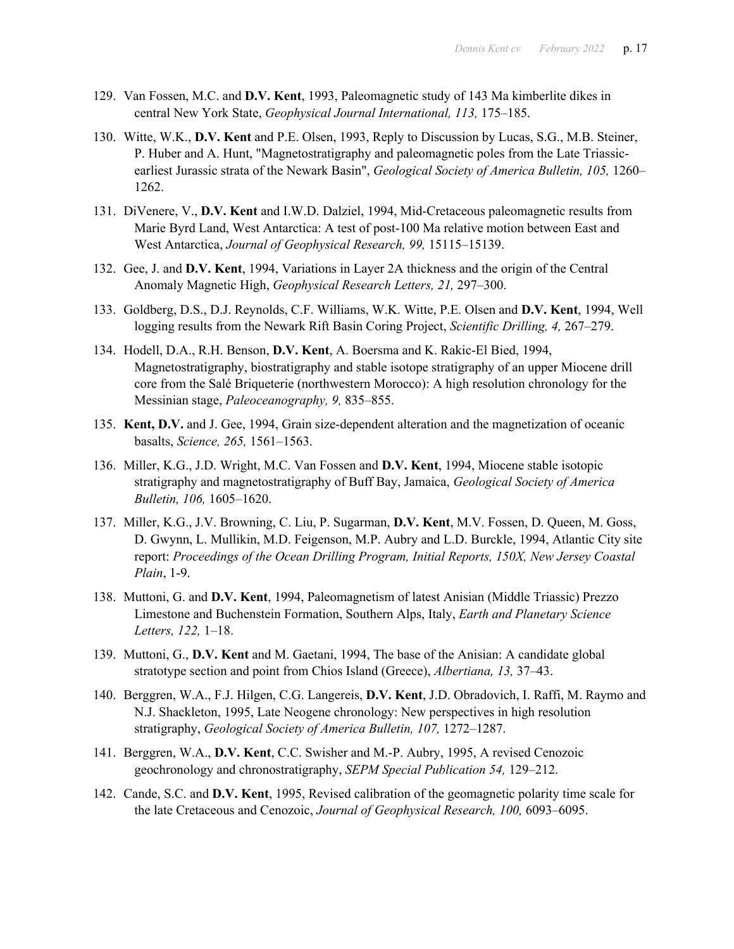- 129. Van Fossen, M.C. and **D.V. Kent**, 1993, Paleomagnetic study of 143 Ma kimberlite dikes in central New York State, *Geophysical Journal International, 113,* 175–185.
- 130. Witte, W.K., **D.V. Kent** and P.E. Olsen, 1993, Reply to Discussion by Lucas, S.G., M.B. Steiner, P. Huber and A. Hunt, "Magnetostratigraphy and paleomagnetic poles from the Late Triassicearliest Jurassic strata of the Newark Basin", *Geological Society of America Bulletin, 105,* 1260– 1262.
- 131. DiVenere, V., **D.V. Kent** and I.W.D. Dalziel, 1994, Mid-Cretaceous paleomagnetic results from Marie Byrd Land, West Antarctica: A test of post-100 Ma relative motion between East and West Antarctica, *Journal of Geophysical Research, 99,* 15115–15139.
- 132. Gee, J. and **D.V. Kent**, 1994, Variations in Layer 2A thickness and the origin of the Central Anomaly Magnetic High, *Geophysical Research Letters, 21,* 297–300.
- 133. Goldberg, D.S., D.J. Reynolds, C.F. Williams, W.K. Witte, P.E. Olsen and **D.V. Kent**, 1994, Well logging results from the Newark Rift Basin Coring Project, *Scientific Drilling, 4,* 267–279.
- 134. Hodell, D.A., R.H. Benson, **D.V. Kent**, A. Boersma and K. Rakic-El Bied, 1994, Magnetostratigraphy, biostratigraphy and stable isotope stratigraphy of an upper Miocene drill core from the Salé Briqueterie (northwestern Morocco): A high resolution chronology for the Messinian stage, *Paleoceanography, 9,* 835–855.
- 135. **Kent, D.V.** and J. Gee, 1994, Grain size-dependent alteration and the magnetization of oceanic basalts, *Science, 265,* 1561–1563.
- 136. Miller, K.G., J.D. Wright, M.C. Van Fossen and **D.V. Kent**, 1994, Miocene stable isotopic stratigraphy and magnetostratigraphy of Buff Bay, Jamaica, *Geological Society of America Bulletin, 106,* 1605–1620.
- 137. Miller, K.G., J.V. Browning, C. Liu, P. Sugarman, **D.V. Kent**, M.V. Fossen, D. Queen, M. Goss, D. Gwynn, L. Mullikin, M.D. Feigenson, M.P. Aubry and L.D. Burckle, 1994, Atlantic City site report: *Proceedings of the Ocean Drilling Program, Initial Reports, 150X, New Jersey Coastal Plain*, 1-9.
- 138. Muttoni, G. and **D.V. Kent**, 1994, Paleomagnetism of latest Anisian (Middle Triassic) Prezzo Limestone and Buchenstein Formation, Southern Alps, Italy, *Earth and Planetary Science Letters, 122,* 1–18.
- 139. Muttoni, G., **D.V. Kent** and M. Gaetani, 1994, The base of the Anisian: A candidate global stratotype section and point from Chios Island (Greece), *Albertiana, 13,* 37–43.
- 140. Berggren, W.A., F.J. Hilgen, C.G. Langereis, **D.V. Kent**, J.D. Obradovich, I. Raffi, M. Raymo and N.J. Shackleton, 1995, Late Neogene chronology: New perspectives in high resolution stratigraphy, *Geological Society of America Bulletin, 107,* 1272–1287.
- 141. Berggren, W.A., **D.V. Kent**, C.C. Swisher and M.-P. Aubry, 1995, A revised Cenozoic geochronology and chronostratigraphy, *SEPM Special Publication 54,* 129–212.
- 142. Cande, S.C. and **D.V. Kent**, 1995, Revised calibration of the geomagnetic polarity time scale for the late Cretaceous and Cenozoic, *Journal of Geophysical Research, 100,* 6093–6095.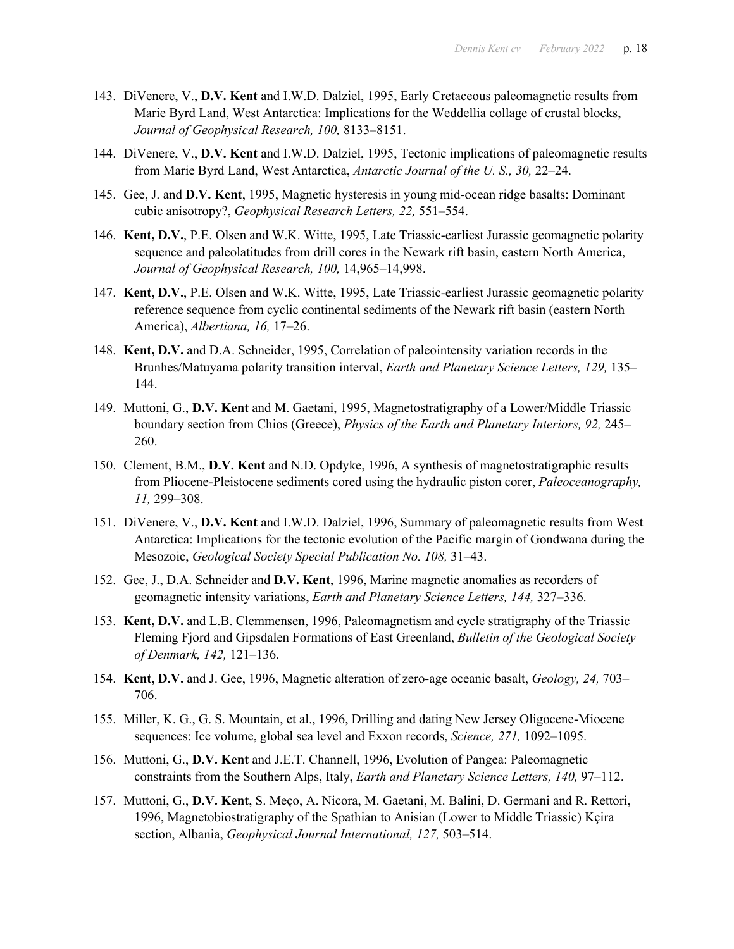- 143. DiVenere, V., **D.V. Kent** and I.W.D. Dalziel, 1995, Early Cretaceous paleomagnetic results from Marie Byrd Land, West Antarctica: Implications for the Weddellia collage of crustal blocks, *Journal of Geophysical Research, 100,* 8133–8151.
- 144. DiVenere, V., **D.V. Kent** and I.W.D. Dalziel, 1995, Tectonic implications of paleomagnetic results from Marie Byrd Land, West Antarctica, *Antarctic Journal of the U. S., 30,* 22–24.
- 145. Gee, J. and **D.V. Kent**, 1995, Magnetic hysteresis in young mid-ocean ridge basalts: Dominant cubic anisotropy?, *Geophysical Research Letters, 22,* 551–554.
- 146. **Kent, D.V.**, P.E. Olsen and W.K. Witte, 1995, Late Triassic-earliest Jurassic geomagnetic polarity sequence and paleolatitudes from drill cores in the Newark rift basin, eastern North America, *Journal of Geophysical Research, 100,* 14,965–14,998.
- 147. **Kent, D.V.**, P.E. Olsen and W.K. Witte, 1995, Late Triassic-earliest Jurassic geomagnetic polarity reference sequence from cyclic continental sediments of the Newark rift basin (eastern North America), *Albertiana, 16,* 17–26.
- 148. **Kent, D.V.** and D.A. Schneider, 1995, Correlation of paleointensity variation records in the Brunhes/Matuyama polarity transition interval, *Earth and Planetary Science Letters, 129,* 135– 144.
- 149. Muttoni, G., **D.V. Kent** and M. Gaetani, 1995, Magnetostratigraphy of a Lower/Middle Triassic boundary section from Chios (Greece), *Physics of the Earth and Planetary Interiors, 92,* 245– 260.
- 150. Clement, B.M., **D.V. Kent** and N.D. Opdyke, 1996, A synthesis of magnetostratigraphic results from Pliocene-Pleistocene sediments cored using the hydraulic piston corer, *Paleoceanography, 11,* 299–308.
- 151. DiVenere, V., **D.V. Kent** and I.W.D. Dalziel, 1996, Summary of paleomagnetic results from West Antarctica: Implications for the tectonic evolution of the Pacific margin of Gondwana during the Mesozoic, *Geological Society Special Publication No. 108,* 31–43.
- 152. Gee, J., D.A. Schneider and **D.V. Kent**, 1996, Marine magnetic anomalies as recorders of geomagnetic intensity variations, *Earth and Planetary Science Letters, 144,* 327–336.
- 153. **Kent, D.V.** and L.B. Clemmensen, 1996, Paleomagnetism and cycle stratigraphy of the Triassic Fleming Fjord and Gipsdalen Formations of East Greenland, *Bulletin of the Geological Society of Denmark, 142,* 121–136.
- 154. **Kent, D.V.** and J. Gee, 1996, Magnetic alteration of zero-age oceanic basalt, *Geology, 24,* 703– 706.
- 155. Miller, K. G., G. S. Mountain, et al., 1996, Drilling and dating New Jersey Oligocene-Miocene sequences: Ice volume, global sea level and Exxon records, *Science, 271,* 1092–1095.
- 156. Muttoni, G., **D.V. Kent** and J.E.T. Channell, 1996, Evolution of Pangea: Paleomagnetic constraints from the Southern Alps, Italy, *Earth and Planetary Science Letters, 140,* 97–112.
- 157. Muttoni, G., **D.V. Kent**, S. Meço, A. Nicora, M. Gaetani, M. Balini, D. Germani and R. Rettori, 1996, Magnetobiostratigraphy of the Spathian to Anisian (Lower to Middle Triassic) Kçira section, Albania, *Geophysical Journal International, 127,* 503–514.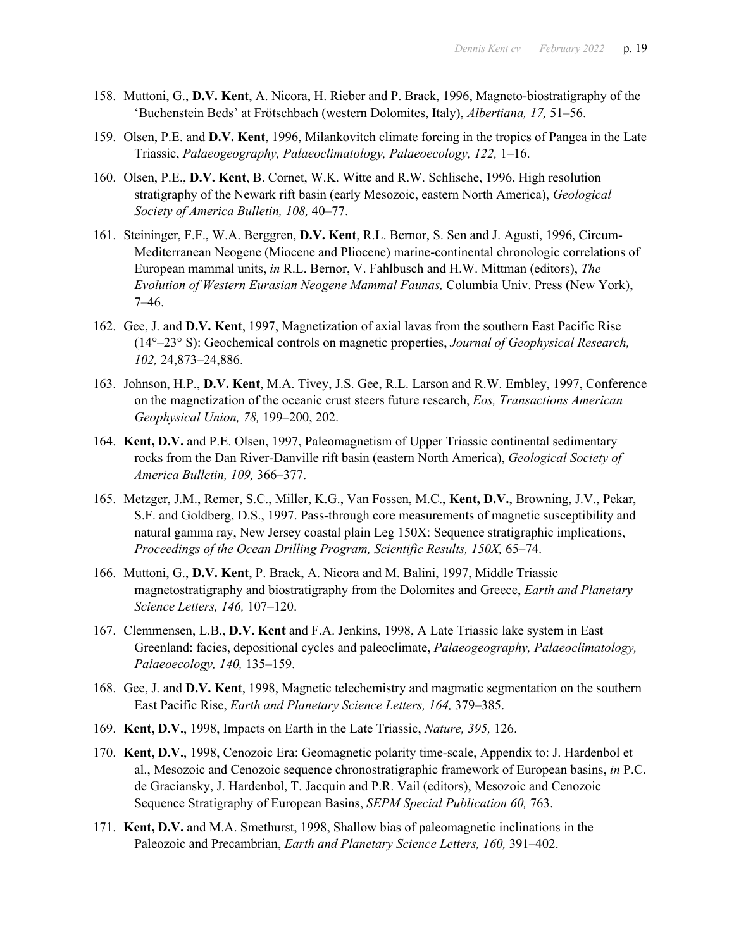- 158. Muttoni, G., **D.V. Kent**, A. Nicora, H. Rieber and P. Brack, 1996, Magneto-biostratigraphy of the 'Buchenstein Beds' at Frötschbach (western Dolomites, Italy), *Albertiana, 17,* 51–56.
- 159. Olsen, P.E. and **D.V. Kent**, 1996, Milankovitch climate forcing in the tropics of Pangea in the Late Triassic, *Palaeogeography, Palaeoclimatology, Palaeoecology, 122,* 1–16.
- 160. Olsen, P.E., **D.V. Kent**, B. Cornet, W.K. Witte and R.W. Schlische, 1996, High resolution stratigraphy of the Newark rift basin (early Mesozoic, eastern North America), *Geological Society of America Bulletin, 108,* 40–77.
- 161. Steininger, F.F., W.A. Berggren, **D.V. Kent**, R.L. Bernor, S. Sen and J. Agusti, 1996, Circum-Mediterranean Neogene (Miocene and Pliocene) marine-continental chronologic correlations of European mammal units, *in* R.L. Bernor, V. Fahlbusch and H.W. Mittman (editors), *The Evolution of Western Eurasian Neogene Mammal Faunas,* Columbia Univ. Press (New York), 7–46.
- 162. Gee, J. and **D.V. Kent**, 1997, Magnetization of axial lavas from the southern East Pacific Rise (14°–23° S): Geochemical controls on magnetic properties, *Journal of Geophysical Research, 102,* 24,873–24,886.
- 163. Johnson, H.P., **D.V. Kent**, M.A. Tivey, J.S. Gee, R.L. Larson and R.W. Embley, 1997, Conference on the magnetization of the oceanic crust steers future research, *Eos, Transactions American Geophysical Union, 78,* 199–200, 202.
- 164. **Kent, D.V.** and P.E. Olsen, 1997, Paleomagnetism of Upper Triassic continental sedimentary rocks from the Dan River-Danville rift basin (eastern North America), *Geological Society of America Bulletin, 109,* 366–377.
- 165. Metzger, J.M., Remer, S.C., Miller, K.G., Van Fossen, M.C., **Kent, D.V.**, Browning, J.V., Pekar, S.F. and Goldberg, D.S., 1997. Pass-through core measurements of magnetic susceptibility and natural gamma ray, New Jersey coastal plain Leg 150X: Sequence stratigraphic implications, *Proceedings of the Ocean Drilling Program, Scientific Results, 150X,* 65–74.
- 166. Muttoni, G., **D.V. Kent**, P. Brack, A. Nicora and M. Balini, 1997, Middle Triassic magnetostratigraphy and biostratigraphy from the Dolomites and Greece, *Earth and Planetary Science Letters, 146,* 107–120.
- 167. Clemmensen, L.B., **D.V. Kent** and F.A. Jenkins, 1998, A Late Triassic lake system in East Greenland: facies, depositional cycles and paleoclimate, *Palaeogeography, Palaeoclimatology, Palaeoecology, 140,* 135–159.
- 168. Gee, J. and **D.V. Kent**, 1998, Magnetic telechemistry and magmatic segmentation on the southern East Pacific Rise, *Earth and Planetary Science Letters, 164,* 379–385.
- 169. **Kent, D.V.**, 1998, Impacts on Earth in the Late Triassic, *Nature, 395,* 126.
- 170. **Kent, D.V.**, 1998, Cenozoic Era: Geomagnetic polarity time-scale, Appendix to: J. Hardenbol et al., Mesozoic and Cenozoic sequence chronostratigraphic framework of European basins, *in* P.C. de Graciansky, J. Hardenbol, T. Jacquin and P.R. Vail (editors), Mesozoic and Cenozoic Sequence Stratigraphy of European Basins, *SEPM Special Publication 60,* 763.
- 171. **Kent, D.V.** and M.A. Smethurst, 1998, Shallow bias of paleomagnetic inclinations in the Paleozoic and Precambrian, *Earth and Planetary Science Letters, 160,* 391–402.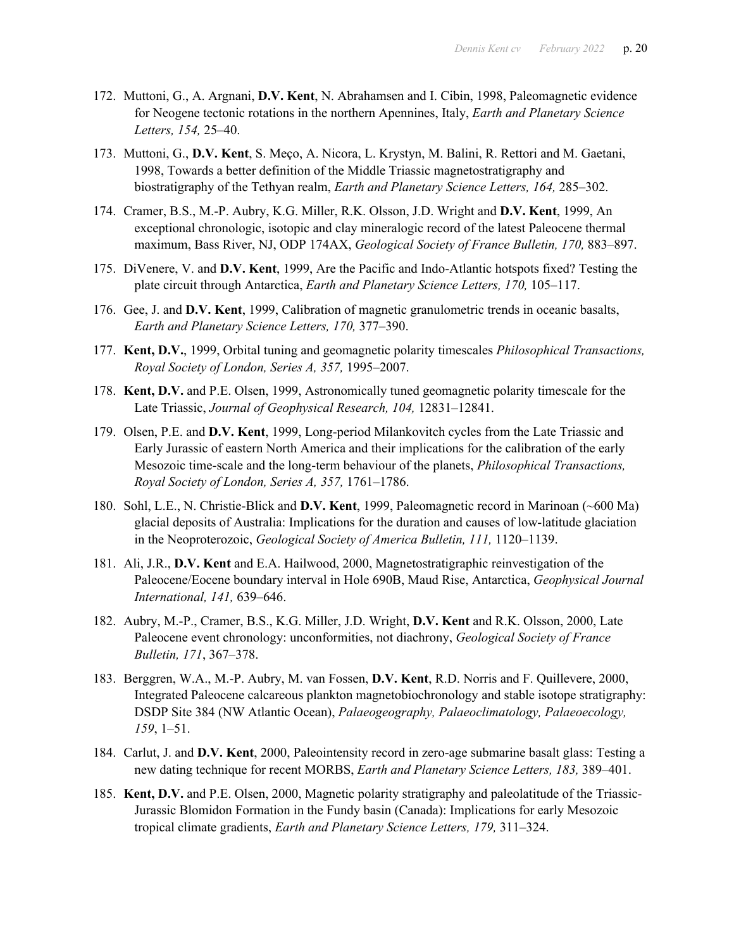- 172. Muttoni, G., A. Argnani, **D.V. Kent**, N. Abrahamsen and I. Cibin, 1998, Paleomagnetic evidence for Neogene tectonic rotations in the northern Apennines, Italy, *Earth and Planetary Science Letters, 154,* 25–40.
- 173. Muttoni, G., **D.V. Kent**, S. Meço, A. Nicora, L. Krystyn, M. Balini, R. Rettori and M. Gaetani, 1998, Towards a better definition of the Middle Triassic magnetostratigraphy and biostratigraphy of the Tethyan realm, *Earth and Planetary Science Letters, 164,* 285–302.
- 174. Cramer, B.S., M.-P. Aubry, K.G. Miller, R.K. Olsson, J.D. Wright and **D.V. Kent**, 1999, An exceptional chronologic, isotopic and clay mineralogic record of the latest Paleocene thermal maximum, Bass River, NJ, ODP 174AX, *Geological Society of France Bulletin, 170,* 883–897.
- 175. DiVenere, V. and **D.V. Kent**, 1999, Are the Pacific and Indo-Atlantic hotspots fixed? Testing the plate circuit through Antarctica, *Earth and Planetary Science Letters, 170,* 105–117.
- 176. Gee, J. and **D.V. Kent**, 1999, Calibration of magnetic granulometric trends in oceanic basalts, *Earth and Planetary Science Letters, 170,* 377–390.
- 177. **Kent, D.V.**, 1999, Orbital tuning and geomagnetic polarity timescales *Philosophical Transactions, Royal Society of London, Series A, 357,* 1995–2007.
- 178. **Kent, D.V.** and P.E. Olsen, 1999, Astronomically tuned geomagnetic polarity timescale for the Late Triassic, *Journal of Geophysical Research, 104,* 12831–12841.
- 179. Olsen, P.E. and **D.V. Kent**, 1999, Long-period Milankovitch cycles from the Late Triassic and Early Jurassic of eastern North America and their implications for the calibration of the early Mesozoic time-scale and the long-term behaviour of the planets, *Philosophical Transactions, Royal Society of London, Series A, 357,* 1761–1786.
- 180. Sohl, L.E., N. Christie-Blick and **D.V. Kent**, 1999, Paleomagnetic record in Marinoan (~600 Ma) glacial deposits of Australia: Implications for the duration and causes of low-latitude glaciation in the Neoproterozoic, *Geological Society of America Bulletin, 111,* 1120–1139.
- 181. Ali, J.R., **D.V. Kent** and E.A. Hailwood, 2000, Magnetostratigraphic reinvestigation of the Paleocene/Eocene boundary interval in Hole 690B, Maud Rise, Antarctica, *Geophysical Journal International, 141,* 639–646.
- 182. Aubry, M.-P., Cramer, B.S., K.G. Miller, J.D. Wright, **D.V. Kent** and R.K. Olsson, 2000, Late Paleocene event chronology: unconformities, not diachrony, *Geological Society of France Bulletin, 171*, 367–378.
- 183. Berggren, W.A., M.-P. Aubry, M. van Fossen, **D.V. Kent**, R.D. Norris and F. Quillevere, 2000, Integrated Paleocene calcareous plankton magnetobiochronology and stable isotope stratigraphy: DSDP Site 384 (NW Atlantic Ocean), *Palaeogeography, Palaeoclimatology, Palaeoecology, 159*, 1–51.
- 184. Carlut, J. and **D.V. Kent**, 2000, Paleointensity record in zero-age submarine basalt glass: Testing a new dating technique for recent MORBS, *Earth and Planetary Science Letters, 183,* 389–401.
- 185. **Kent, D.V.** and P.E. Olsen, 2000, Magnetic polarity stratigraphy and paleolatitude of the Triassic-Jurassic Blomidon Formation in the Fundy basin (Canada): Implications for early Mesozoic tropical climate gradients, *Earth and Planetary Science Letters, 179,* 311–324.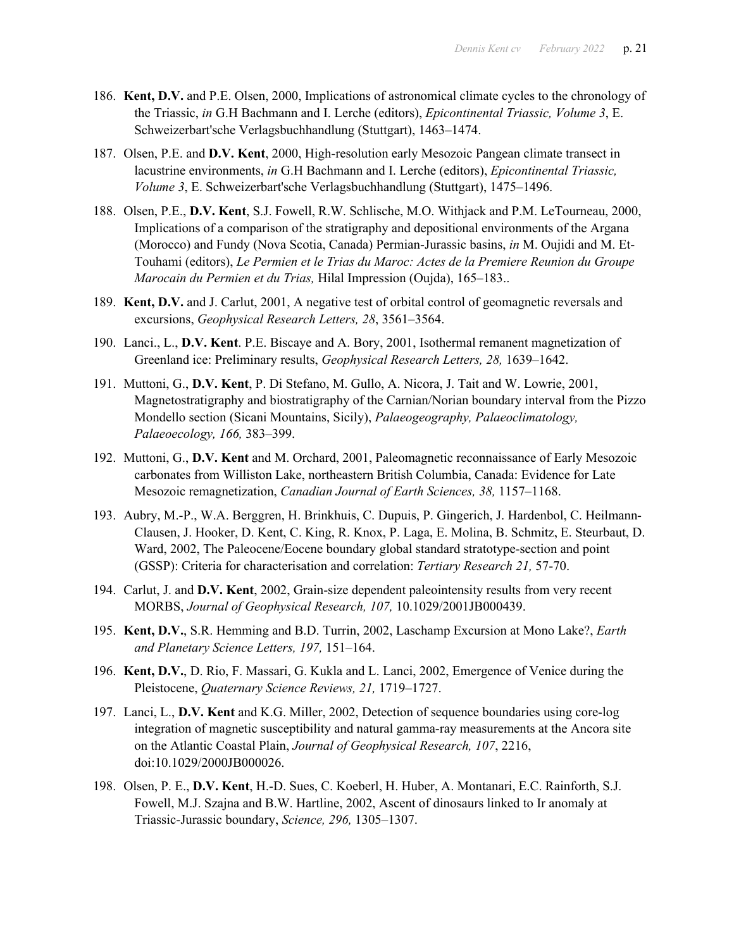- 186. **Kent, D.V.** and P.E. Olsen, 2000, Implications of astronomical climate cycles to the chronology of the Triassic, *in* G.H Bachmann and I. Lerche (editors), *Epicontinental Triassic, Volume 3*, E. Schweizerbart'sche Verlagsbuchhandlung (Stuttgart), 1463–1474.
- 187. Olsen, P.E. and **D.V. Kent**, 2000, High-resolution early Mesozoic Pangean climate transect in lacustrine environments, *in* G.H Bachmann and I. Lerche (editors), *Epicontinental Triassic, Volume 3*, E. Schweizerbart'sche Verlagsbuchhandlung (Stuttgart), 1475–1496.
- 188. Olsen, P.E., **D.V. Kent**, S.J. Fowell, R.W. Schlische, M.O. Withjack and P.M. LeTourneau, 2000, Implications of a comparison of the stratigraphy and depositional environments of the Argana (Morocco) and Fundy (Nova Scotia, Canada) Permian-Jurassic basins, *in* M. Oujidi and M. Et-Touhami (editors), *Le Permien et le Trias du Maroc: Actes de la Premiere Reunion du Groupe Marocain du Permien et du Trias,* Hilal Impression (Oujda), 165–183..
- 189. **Kent, D.V.** and J. Carlut, 2001, A negative test of orbital control of geomagnetic reversals and excursions, *Geophysical Research Letters, 28*, 3561–3564.
- 190. Lanci., L., **D.V. Kent**. P.E. Biscaye and A. Bory, 2001, Isothermal remanent magnetization of Greenland ice: Preliminary results, *Geophysical Research Letters, 28,* 1639–1642.
- 191. Muttoni, G., **D.V. Kent**, P. Di Stefano, M. Gullo, A. Nicora, J. Tait and W. Lowrie, 2001, Magnetostratigraphy and biostratigraphy of the Carnian/Norian boundary interval from the Pizzo Mondello section (Sicani Mountains, Sicily), *Palaeogeography, Palaeoclimatology, Palaeoecology, 166,* 383–399.
- 192. Muttoni, G., **D.V. Kent** and M. Orchard, 2001, Paleomagnetic reconnaissance of Early Mesozoic carbonates from Williston Lake, northeastern British Columbia, Canada: Evidence for Late Mesozoic remagnetization, *Canadian Journal of Earth Sciences, 38,* 1157–1168.
- 193. Aubry, M.-P., W.A. Berggren, H. Brinkhuis, C. Dupuis, P. Gingerich, J. Hardenbol, C. Heilmann-Clausen, J. Hooker, D. Kent, C. King, R. Knox, P. Laga, E. Molina, B. Schmitz, E. Steurbaut, D. Ward, 2002, The Paleocene/Eocene boundary global standard stratotype-section and point (GSSP): Criteria for characterisation and correlation: *Tertiary Research 21,* 57-70.
- 194. Carlut, J. and **D.V. Kent**, 2002, Grain-size dependent paleointensity results from very recent MORBS, *Journal of Geophysical Research, 107,* 10.1029/2001JB000439.
- 195. **Kent, D.V.**, S.R. Hemming and B.D. Turrin, 2002, Laschamp Excursion at Mono Lake?, *Earth and Planetary Science Letters, 197,* 151–164.
- 196. **Kent, D.V.**, D. Rio, F. Massari, G. Kukla and L. Lanci, 2002, Emergence of Venice during the Pleistocene, *Quaternary Science Reviews, 21,* 1719–1727.
- 197. Lanci, L., **D.V. Kent** and K.G. Miller, 2002, Detection of sequence boundaries using core-log integration of magnetic susceptibility and natural gamma-ray measurements at the Ancora site on the Atlantic Coastal Plain, *Journal of Geophysical Research, 107*, 2216, doi:10.1029/2000JB000026.
- 198. Olsen, P. E., **D.V. Kent**, H.-D. Sues, C. Koeberl, H. Huber, A. Montanari, E.C. Rainforth, S.J. Fowell, M.J. Szajna and B.W. Hartline, 2002, Ascent of dinosaurs linked to Ir anomaly at Triassic-Jurassic boundary, *Science, 296,* 1305–1307.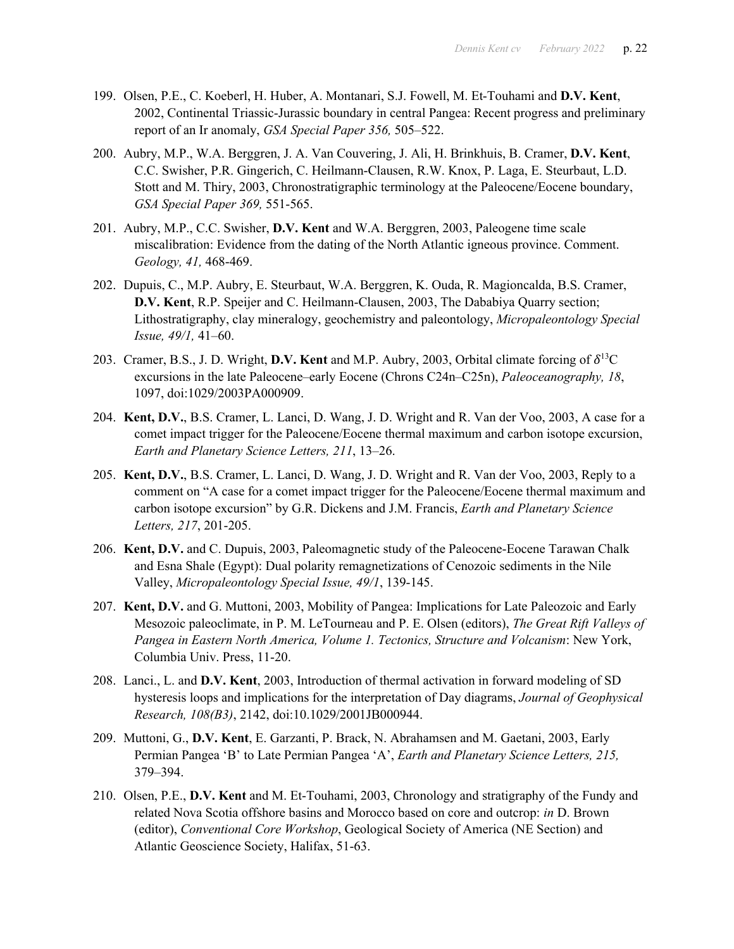- 199. Olsen, P.E., C. Koeberl, H. Huber, A. Montanari, S.J. Fowell, M. Et-Touhami and **D.V. Kent**, 2002, Continental Triassic-Jurassic boundary in central Pangea: Recent progress and preliminary report of an Ir anomaly, *GSA Special Paper 356,* 505–522.
- 200. Aubry, M.P., W.A. Berggren, J. A. Van Couvering, J. Ali, H. Brinkhuis, B. Cramer, **D.V. Kent**, C.C. Swisher, P.R. Gingerich, C. Heilmann-Clausen, R.W. Knox, P. Laga, E. Steurbaut, L.D. Stott and M. Thiry, 2003, Chronostratigraphic terminology at the Paleocene/Eocene boundary, *GSA Special Paper 369,* 551-565.
- 201. Aubry, M.P., C.C. Swisher, **D.V. Kent** and W.A. Berggren, 2003, Paleogene time scale miscalibration: Evidence from the dating of the North Atlantic igneous province. Comment. *Geology, 41,* 468-469.
- 202. Dupuis, C., M.P. Aubry, E. Steurbaut, W.A. Berggren, K. Ouda, R. Magioncalda, B.S. Cramer, **D.V. Kent**, R.P. Speijer and C. Heilmann-Clausen, 2003, The Dababiya Quarry section; Lithostratigraphy, clay mineralogy, geochemistry and paleontology, *Micropaleontology Special Issue, 49/1,* 41–60.
- 203. Cramer, B.S., J. D. Wright, **D.V. Kent** and M.P. Aubry, 2003, Orbital climate forcing of  $\delta^{13}C$ excursions in the late Paleocene–early Eocene (Chrons C24n–C25n), *Paleoceanography, 18*, 1097, doi:1029/2003PA000909.
- 204. **Kent, D.V.**, B.S. Cramer, L. Lanci, D. Wang, J. D. Wright and R. Van der Voo, 2003, A case for a comet impact trigger for the Paleocene/Eocene thermal maximum and carbon isotope excursion, *Earth and Planetary Science Letters, 211*, 13–26.
- 205. **Kent, D.V.**, B.S. Cramer, L. Lanci, D. Wang, J. D. Wright and R. Van der Voo, 2003, Reply to a comment on "A case for a comet impact trigger for the Paleocene/Eocene thermal maximum and carbon isotope excursion" by G.R. Dickens and J.M. Francis, *Earth and Planetary Science Letters, 217*, 201-205.
- 206. **Kent, D.V.** and C. Dupuis, 2003, Paleomagnetic study of the Paleocene-Eocene Tarawan Chalk and Esna Shale (Egypt): Dual polarity remagnetizations of Cenozoic sediments in the Nile Valley, *Micropaleontology Special Issue, 49/1*, 139-145.
- 207. **Kent, D.V.** and G. Muttoni, 2003, Mobility of Pangea: Implications for Late Paleozoic and Early Mesozoic paleoclimate, in P. M. LeTourneau and P. E. Olsen (editors), *The Great Rift Valleys of Pangea in Eastern North America, Volume 1. Tectonics, Structure and Volcanism*: New York, Columbia Univ. Press, 11-20.
- 208. Lanci., L. and **D.V. Kent**, 2003, Introduction of thermal activation in forward modeling of SD hysteresis loops and implications for the interpretation of Day diagrams, *Journal of Geophysical Research, 108(B3)*, 2142, doi:10.1029/2001JB000944.
- 209. Muttoni, G., **D.V. Kent**, E. Garzanti, P. Brack, N. Abrahamsen and M. Gaetani, 2003, Early Permian Pangea 'B' to Late Permian Pangea 'A', *Earth and Planetary Science Letters, 215,*  379–394.
- 210. Olsen, P.E., **D.V. Kent** and M. Et-Touhami, 2003, Chronology and stratigraphy of the Fundy and related Nova Scotia offshore basins and Morocco based on core and outcrop: *in* D. Brown (editor), *Conventional Core Workshop*, Geological Society of America (NE Section) and Atlantic Geoscience Society, Halifax, 51-63.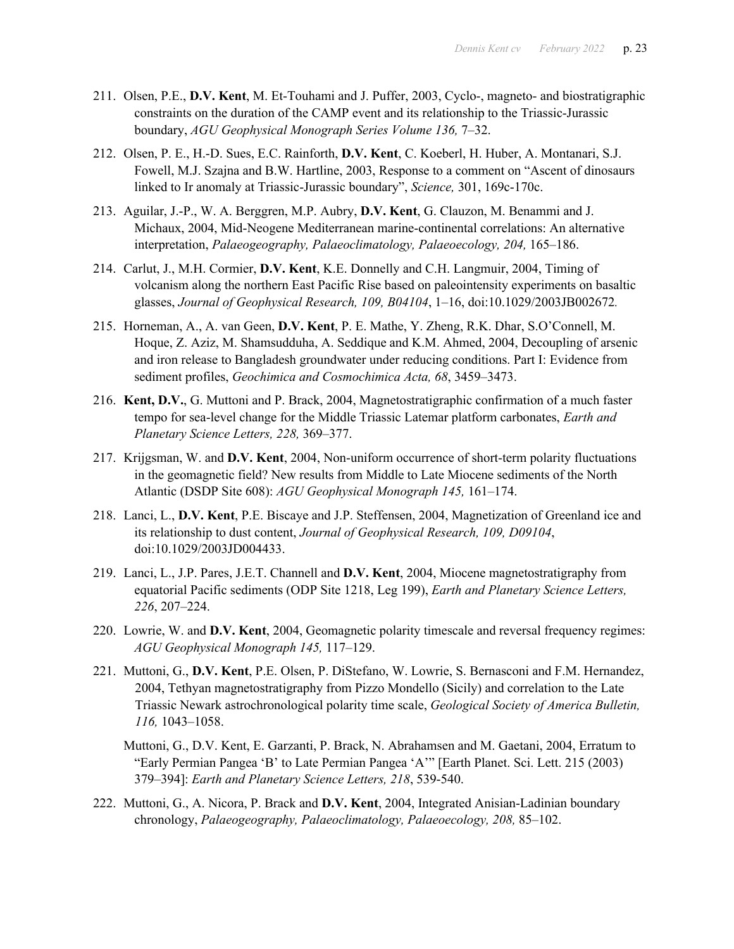- 211. Olsen, P.E., **D.V. Kent**, M. Et-Touhami and J. Puffer, 2003, Cyclo-, magneto- and biostratigraphic constraints on the duration of the CAMP event and its relationship to the Triassic-Jurassic boundary, *AGU Geophysical Monograph Series Volume 136,* 7–32.
- 212. Olsen, P. E., H.-D. Sues, E.C. Rainforth, **D.V. Kent**, C. Koeberl, H. Huber, A. Montanari, S.J. Fowell, M.J. Szajna and B.W. Hartline, 2003, Response to a comment on "Ascent of dinosaurs linked to Ir anomaly at Triassic-Jurassic boundary", *Science,* 301, 169c-170c.
- 213. Aguilar, J.-P., W. A. Berggren, M.P. Aubry, **D.V. Kent**, G. Clauzon, M. Benammi and J. Michaux, 2004, Mid-Neogene Mediterranean marine-continental correlations: An alternative interpretation, *Palaeogeography, Palaeoclimatology, Palaeoecology, 204,* 165–186.
- 214. Carlut, J., M.H. Cormier, **D.V. Kent**, K.E. Donnelly and C.H. Langmuir, 2004, Timing of volcanism along the northern East Pacific Rise based on paleointensity experiments on basaltic glasses, *Journal of Geophysical Research, 109, B04104*, 1–16, doi:10.1029/2003JB002672*.*
- 215. Horneman, A., A. van Geen, **D.V. Kent**, P. E. Mathe, Y. Zheng, R.K. Dhar, S.O'Connell, M. Hoque, Z. Aziz, M. Shamsudduha, A. Seddique and K.M. Ahmed, 2004, Decoupling of arsenic and iron release to Bangladesh groundwater under reducing conditions. Part I: Evidence from sediment profiles, *Geochimica and Cosmochimica Acta, 68*, 3459–3473.
- 216. **Kent, D.V.**, G. Muttoni and P. Brack, 2004, Magnetostratigraphic confirmation of a much faster tempo for sea-level change for the Middle Triassic Latemar platform carbonates, *Earth and Planetary Science Letters, 228,* 369–377.
- 217. Krijgsman, W. and **D.V. Kent**, 2004, Non-uniform occurrence of short-term polarity fluctuations in the geomagnetic field? New results from Middle to Late Miocene sediments of the North Atlantic (DSDP Site 608): *AGU Geophysical Monograph 145,* 161–174.
- 218. Lanci, L., **D.V. Kent**, P.E. Biscaye and J.P. Steffensen, 2004, Magnetization of Greenland ice and its relationship to dust content, *Journal of Geophysical Research, 109, D09104*, doi:10.1029/2003JD004433.
- 219. Lanci, L., J.P. Pares, J.E.T. Channell and **D.V. Kent**, 2004, Miocene magnetostratigraphy from equatorial Pacific sediments (ODP Site 1218, Leg 199), *Earth and Planetary Science Letters, 226*, 207–224.
- 220. Lowrie, W. and **D.V. Kent**, 2004, Geomagnetic polarity timescale and reversal frequency regimes: *AGU Geophysical Monograph 145,* 117–129.
- 221. Muttoni, G., **D.V. Kent**, P.E. Olsen, P. DiStefano, W. Lowrie, S. Bernasconi and F.M. Hernandez, 2004, Tethyan magnetostratigraphy from Pizzo Mondello (Sicily) and correlation to the Late Triassic Newark astrochronological polarity time scale, *Geological Society of America Bulletin, 116,* 1043–1058.
	- Muttoni, G., D.V. Kent, E. Garzanti, P. Brack, N. Abrahamsen and M. Gaetani, 2004, Erratum to "Early Permian Pangea 'B' to Late Permian Pangea 'A'" [Earth Planet. Sci. Lett. 215 (2003) 379–394]: *Earth and Planetary Science Letters, 218*, 539-540.
- 222. Muttoni, G., A. Nicora, P. Brack and **D.V. Kent**, 2004, Integrated Anisian-Ladinian boundary chronology, *Palaeogeography, Palaeoclimatology, Palaeoecology, 208,* 85–102.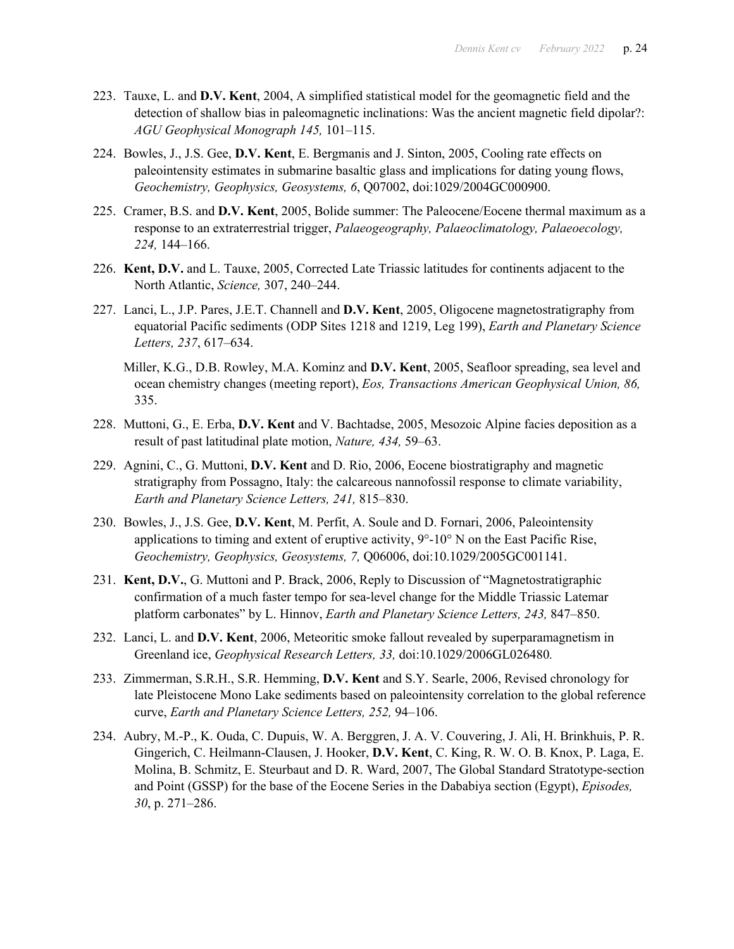- 223. Tauxe, L. and **D.V. Kent**, 2004, A simplified statistical model for the geomagnetic field and the detection of shallow bias in paleomagnetic inclinations: Was the ancient magnetic field dipolar?: *AGU Geophysical Monograph 145,* 101–115.
- 224. Bowles, J., J.S. Gee, **D.V. Kent**, E. Bergmanis and J. Sinton, 2005, Cooling rate effects on paleointensity estimates in submarine basaltic glass and implications for dating young flows, *Geochemistry, Geophysics, Geosystems, 6*, Q07002, doi:1029/2004GC000900.
- 225. Cramer, B.S. and **D.V. Kent**, 2005, Bolide summer: The Paleocene/Eocene thermal maximum as a response to an extraterrestrial trigger, *Palaeogeography, Palaeoclimatology, Palaeoecology, 224,* 144–166.
- 226. **Kent, D.V.** and L. Tauxe, 2005, Corrected Late Triassic latitudes for continents adjacent to the North Atlantic, *Science,* 307, 240–244.
- 227. Lanci, L., J.P. Pares, J.E.T. Channell and **D.V. Kent**, 2005, Oligocene magnetostratigraphy from equatorial Pacific sediments (ODP Sites 1218 and 1219, Leg 199), *Earth and Planetary Science Letters, 237*, 617–634.
	- Miller, K.G., D.B. Rowley, M.A. Kominz and **D.V. Kent**, 2005, Seafloor spreading, sea level and ocean chemistry changes (meeting report), *Eos, Transactions American Geophysical Union, 86,* 335.
- 228. Muttoni, G., E. Erba, **D.V. Kent** and V. Bachtadse, 2005, Mesozoic Alpine facies deposition as a result of past latitudinal plate motion, *Nature, 434,* 59–63.
- 229. Agnini, C., G. Muttoni, **D.V. Kent** and D. Rio, 2006, Eocene biostratigraphy and magnetic stratigraphy from Possagno, Italy: the calcareous nannofossil response to climate variability, *Earth and Planetary Science Letters, 241,* 815–830.
- 230. Bowles, J., J.S. Gee, **D.V. Kent**, M. Perfit, A. Soule and D. Fornari, 2006, Paleointensity applications to timing and extent of eruptive activity,  $9^{\circ}$ -10° N on the East Pacific Rise, *Geochemistry, Geophysics, Geosystems, 7,* Q06006, doi:10.1029/2005GC001141.
- 231. **Kent, D.V.**, G. Muttoni and P. Brack, 2006, Reply to Discussion of "Magnetostratigraphic confirmation of a much faster tempo for sea-level change for the Middle Triassic Latemar platform carbonates" by L. Hinnov, *Earth and Planetary Science Letters, 243,* 847–850.
- 232. Lanci, L. and **D.V. Kent**, 2006, Meteoritic smoke fallout revealed by superparamagnetism in Greenland ice, *Geophysical Research Letters, 33,* doi:10.1029/2006GL026480*.*
- 233. Zimmerman, S.R.H., S.R. Hemming, **D.V. Kent** and S.Y. Searle, 2006, Revised chronology for late Pleistocene Mono Lake sediments based on paleointensity correlation to the global reference curve, *Earth and Planetary Science Letters, 252,* 94–106.
- 234. Aubry, M.-P., K. Ouda, C. Dupuis, W. A. Berggren, J. A. V. Couvering, J. Ali, H. Brinkhuis, P. R. Gingerich, C. Heilmann-Clausen, J. Hooker, **D.V. Kent**, C. King, R. W. O. B. Knox, P. Laga, E. Molina, B. Schmitz, E. Steurbaut and D. R. Ward, 2007, The Global Standard Stratotype-section and Point (GSSP) for the base of the Eocene Series in the Dababiya section (Egypt), *Episodes, 30*, p. 271–286.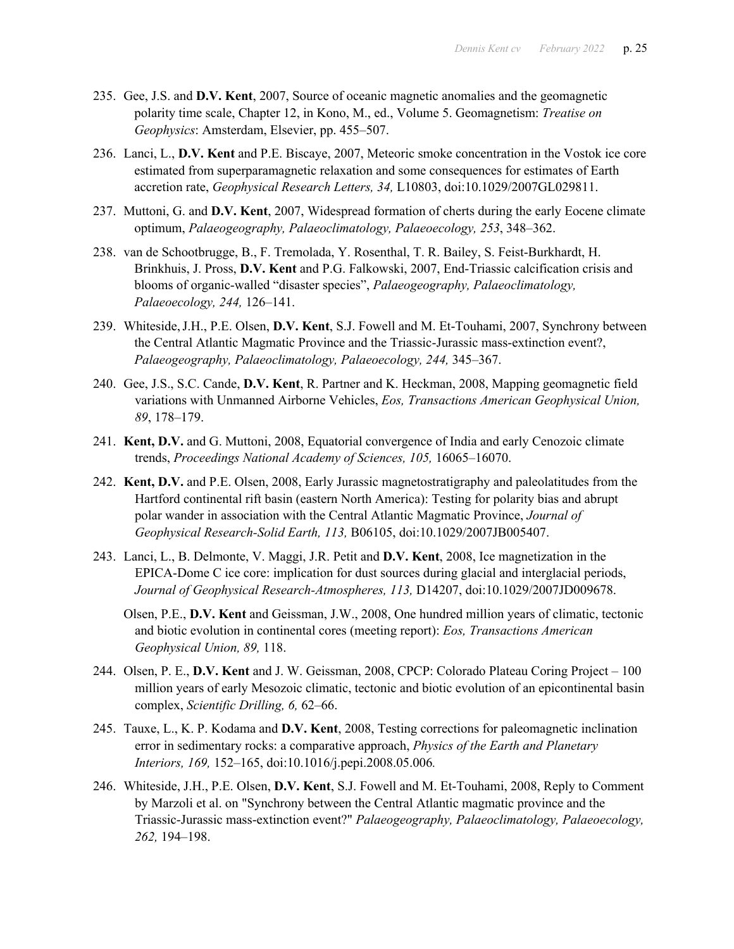- 235. Gee, J.S. and **D.V. Kent**, 2007, Source of oceanic magnetic anomalies and the geomagnetic polarity time scale, Chapter 12, in Kono, M., ed., Volume 5. Geomagnetism: *Treatise on Geophysics*: Amsterdam, Elsevier, pp. 455–507.
- 236. Lanci, L., **D.V. Kent** and P.E. Biscaye, 2007, Meteoric smoke concentration in the Vostok ice core estimated from superparamagnetic relaxation and some consequences for estimates of Earth accretion rate, *Geophysical Research Letters, 34,* L10803, doi:10.1029/2007GL029811.
- 237. Muttoni, G. and **D.V. Kent**, 2007, Widespread formation of cherts during the early Eocene climate optimum, *Palaeogeography, Palaeoclimatology, Palaeoecology, 253*, 348–362.
- 238. van de Schootbrugge, B., F. Tremolada, Y. Rosenthal, T. R. Bailey, S. Feist-Burkhardt, H. Brinkhuis, J. Pross, **D.V. Kent** and P.G. Falkowski, 2007, End-Triassic calcification crisis and blooms of organic-walled "disaster species", *Palaeogeography, Palaeoclimatology, Palaeoecology, 244,* 126–141.
- 239. Whiteside,J.H., P.E. Olsen, **D.V. Kent**, S.J. Fowell and M. Et-Touhami, 2007, Synchrony between the Central Atlantic Magmatic Province and the Triassic-Jurassic mass-extinction event?, *Palaeogeography, Palaeoclimatology, Palaeoecology, 244,* 345–367.
- 240. Gee, J.S., S.C. Cande, **D.V. Kent**, R. Partner and K. Heckman, 2008, Mapping geomagnetic field variations with Unmanned Airborne Vehicles, *Eos, Transactions American Geophysical Union, 89*, 178–179.
- 241. **Kent, D.V.** and G. Muttoni, 2008, Equatorial convergence of India and early Cenozoic climate trends, *Proceedings National Academy of Sciences, 105,* 16065–16070.
- 242. **Kent, D.V.** and P.E. Olsen, 2008, Early Jurassic magnetostratigraphy and paleolatitudes from the Hartford continental rift basin (eastern North America): Testing for polarity bias and abrupt polar wander in association with the Central Atlantic Magmatic Province, *Journal of Geophysical Research-Solid Earth, 113,* B06105, doi:10.1029/2007JB005407.
- 243. Lanci, L., B. Delmonte, V. Maggi, J.R. Petit and **D.V. Kent**, 2008, Ice magnetization in the EPICA-Dome C ice core: implication for dust sources during glacial and interglacial periods, *Journal of Geophysical Research-Atmospheres, 113,* D14207, doi:10.1029/2007JD009678.

Olsen, P.E., **D.V. Kent** and Geissman, J.W., 2008, One hundred million years of climatic, tectonic and biotic evolution in continental cores (meeting report): *Eos, Transactions American Geophysical Union, 89,* 118.

- 244. Olsen, P. E., **D.V. Kent** and J. W. Geissman, 2008, CPCP: Colorado Plateau Coring Project 100 million years of early Mesozoic climatic, tectonic and biotic evolution of an epicontinental basin complex, *Scientific Drilling, 6,* 62–66.
- 245. Tauxe, L., K. P. Kodama and **D.V. Kent**, 2008, Testing corrections for paleomagnetic inclination error in sedimentary rocks: a comparative approach, *Physics of the Earth and Planetary Interiors, 169,* 152–165, doi:10.1016/j.pepi.2008.05.006*.*
- 246. Whiteside, J.H., P.E. Olsen, **D.V. Kent**, S.J. Fowell and M. Et-Touhami, 2008, Reply to Comment by Marzoli et al. on "Synchrony between the Central Atlantic magmatic province and the Triassic-Jurassic mass-extinction event?" *Palaeogeography, Palaeoclimatology, Palaeoecology, 262,* 194–198.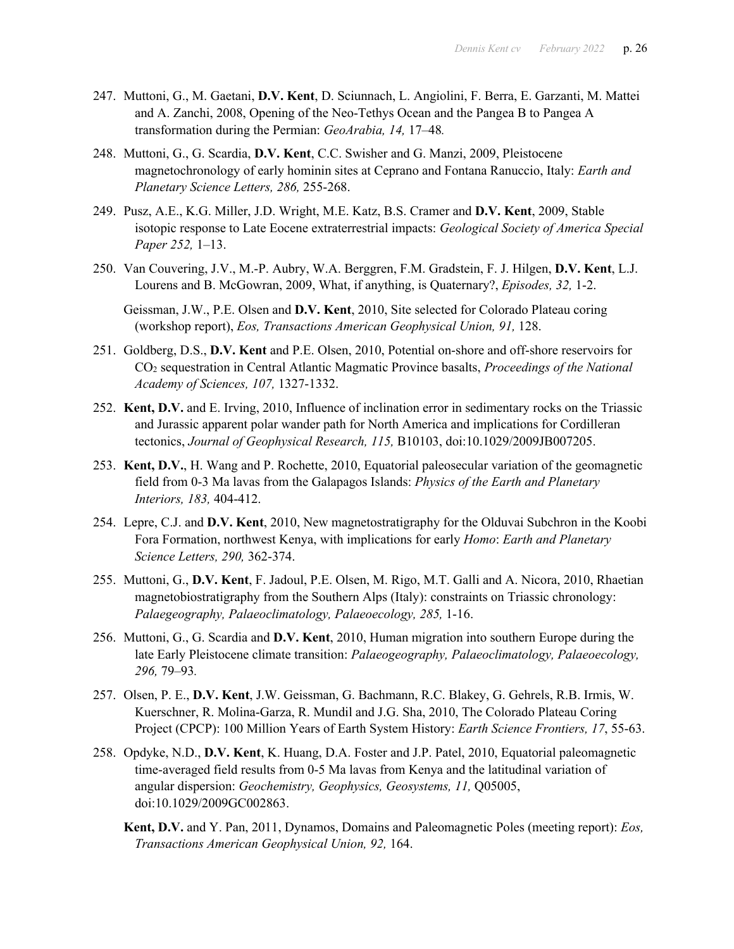- 247. Muttoni, G., M. Gaetani, **D.V. Kent**, D. Sciunnach, L. Angiolini, F. Berra, E. Garzanti, M. Mattei and A. Zanchi, 2008, Opening of the Neo-Tethys Ocean and the Pangea B to Pangea A transformation during the Permian: *GeoArabia, 14,* 17–48*.*
- 248. Muttoni, G., G. Scardia, **D.V. Kent**, C.C. Swisher and G. Manzi, 2009, Pleistocene magnetochronology of early hominin sites at Ceprano and Fontana Ranuccio, Italy: *Earth and Planetary Science Letters, 286,* 255-268.
- 249. Pusz, A.E., K.G. Miller, J.D. Wright, M.E. Katz, B.S. Cramer and **D.V. Kent**, 2009, Stable isotopic response to Late Eocene extraterrestrial impacts: *Geological Society of America Special Paper 252,* 1–13.
- 250. Van Couvering, J.V., M.-P. Aubry, W.A. Berggren, F.M. Gradstein, F. J. Hilgen, **D.V. Kent**, L.J. Lourens and B. McGowran, 2009, What, if anything, is Quaternary?, *Episodes, 32,* 1-2.

Geissman, J.W., P.E. Olsen and **D.V. Kent**, 2010, Site selected for Colorado Plateau coring (workshop report), *Eos, Transactions American Geophysical Union, 91,* 128.

- 251. Goldberg, D.S., **D.V. Kent** and P.E. Olsen, 2010, Potential on-shore and off-shore reservoirs for CO2 sequestration in Central Atlantic Magmatic Province basalts, *Proceedings of the National Academy of Sciences, 107,* 1327-1332.
- 252. **Kent, D.V.** and E. Irving, 2010, Influence of inclination error in sedimentary rocks on the Triassic and Jurassic apparent polar wander path for North America and implications for Cordilleran tectonics, *Journal of Geophysical Research, 115,* B10103, doi:10.1029/2009JB007205.
- 253. **Kent, D.V.**, H. Wang and P. Rochette, 2010, Equatorial paleosecular variation of the geomagnetic field from 0-3 Ma lavas from the Galapagos Islands: *Physics of the Earth and Planetary Interiors, 183,* 404-412.
- 254. Lepre, C.J. and **D.V. Kent**, 2010, New magnetostratigraphy for the Olduvai Subchron in the Koobi Fora Formation, northwest Kenya, with implications for early *Homo*: *Earth and Planetary Science Letters, 290,* 362-374.
- 255. Muttoni, G., **D.V. Kent**, F. Jadoul, P.E. Olsen, M. Rigo, M.T. Galli and A. Nicora, 2010, Rhaetian magnetobiostratigraphy from the Southern Alps (Italy): constraints on Triassic chronology: *Palaegeography, Palaeoclimatology, Palaeoecology, 285,* 1-16.
- 256. Muttoni, G., G. Scardia and **D.V. Kent**, 2010, Human migration into southern Europe during the late Early Pleistocene climate transition: *Palaeogeography, Palaeoclimatology, Palaeoecology, 296,* 79–93*.*
- 257. Olsen, P. E., **D.V. Kent**, J.W. Geissman, G. Bachmann, R.C. Blakey, G. Gehrels, R.B. Irmis, W. Kuerschner, R. Molina-Garza, R. Mundil and J.G. Sha, 2010, The Colorado Plateau Coring Project (CPCP): 100 Million Years of Earth System History: *Earth Science Frontiers, 17*, 55-63.
- 258. Opdyke, N.D., **D.V. Kent**, K. Huang, D.A. Foster and J.P. Patel, 2010, Equatorial paleomagnetic time-averaged field results from 0-5 Ma lavas from Kenya and the latitudinal variation of angular dispersion: *Geochemistry, Geophysics, Geosystems, 11,* Q05005, doi:10.1029/2009GC002863.
	- **Kent, D.V.** and Y. Pan, 2011, Dynamos, Domains and Paleomagnetic Poles (meeting report): *Eos, Transactions American Geophysical Union, 92,* 164.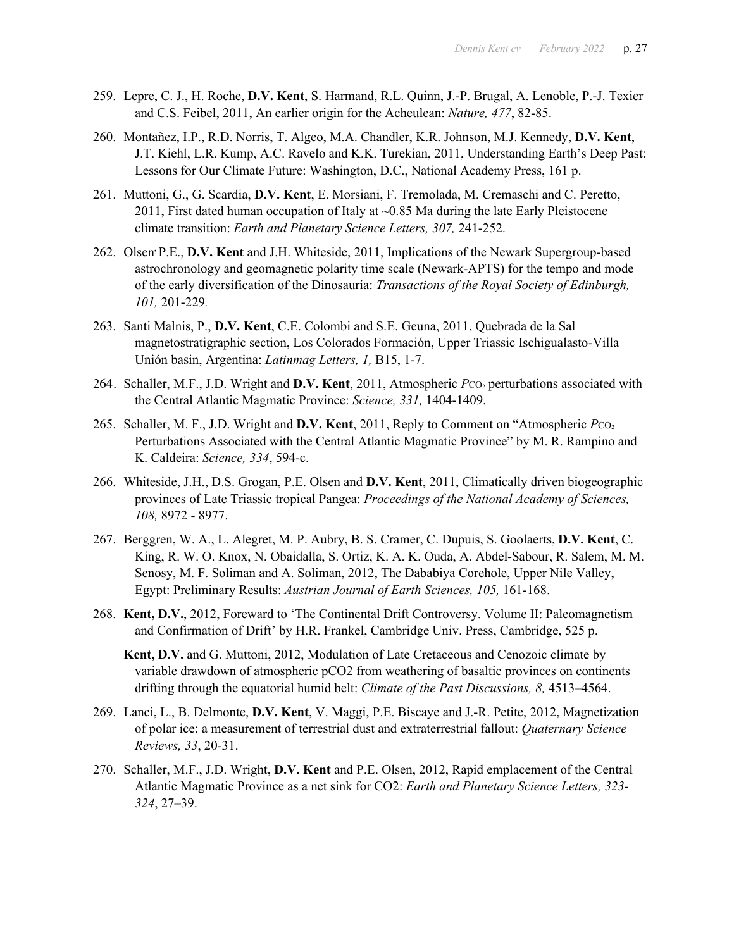- 259. Lepre, C. J., H. Roche, **D.V. Kent**, S. Harmand, R.L. Quinn, J.-P. Brugal, A. Lenoble, P.-J. Texier and C.S. Feibel, 2011, An earlier origin for the Acheulean: *Nature, 477*, 82-85.
- 260. Montañez, I.P., R.D. Norris, T. Algeo, M.A. Chandler, K.R. Johnson, M.J. Kennedy, **D.V. Kent**, J.T. Kiehl, L.R. Kump, A.C. Ravelo and K.K. Turekian, 2011, Understanding Earth's Deep Past: Lessons for Our Climate Future: Washington, D.C., National Academy Press, 161 p.
- 261. Muttoni, G., G. Scardia, **D.V. Kent**, E. Morsiani, F. Tremolada, M. Cremaschi and C. Peretto, 2011, First dated human occupation of Italy at  $\sim$ 0.85 Ma during the late Early Pleistocene climate transition: *Earth and Planetary Science Letters, 307,* 241-252.
- 262. Olsen, P.E., **D.V. Kent** and J.H. Whiteside, 2011, Implications of the Newark Supergroup-based astrochronology and geomagnetic polarity time scale (Newark-APTS) for the tempo and mode of the early diversification of the Dinosauria: *Transactions of the Royal Society of Edinburgh, 101,* 201-229*.*
- 263. Santi Malnis, P., **D.V. Kent**, C.E. Colombi and S.E. Geuna, 2011, Quebrada de la Sal magnetostratigraphic section, Los Colorados Formación, Upper Triassic Ischigualasto-Villa Unión basin, Argentina: *Latinmag Letters, 1,* B15, 1-7.
- 264. Schaller, M.F., J.D. Wright and D.V. Kent, 2011, Atmospheric *P*CO<sub>2</sub> perturbations associated with the Central Atlantic Magmatic Province: *Science, 331,* 1404-1409.
- 265. Schaller, M. F., J.D. Wright and D.V. Kent, 2011, Reply to Comment on "Atmospheric *P*CO<sub>2</sub> Perturbations Associated with the Central Atlantic Magmatic Province" by M. R. Rampino and K. Caldeira: *Science, 334*, 594-c.
- 266. Whiteside, J.H., D.S. Grogan, P.E. Olsen and **D.V. Kent**, 2011, Climatically driven biogeographic provinces of Late Triassic tropical Pangea: *Proceedings of the National Academy of Sciences, 108,* 8972 - 8977.
- 267. Berggren, W. A., L. Alegret, M. P. Aubry, B. S. Cramer, C. Dupuis, S. Goolaerts, **D.V. Kent**, C. King, R. W. O. Knox, N. Obaidalla, S. Ortiz, K. A. K. Ouda, A. Abdel-Sabour, R. Salem, M. M. Senosy, M. F. Soliman and A. Soliman, 2012, The Dababiya Corehole, Upper Nile Valley, Egypt: Preliminary Results: *Austrian Journal of Earth Sciences, 105,* 161-168.
- 268. **Kent, D.V.**, 2012, Foreward to 'The Continental Drift Controversy. Volume II: Paleomagnetism and Confirmation of Drift' by H.R. Frankel, Cambridge Univ. Press, Cambridge, 525 p.
	- **Kent, D.V.** and G. Muttoni, 2012, Modulation of Late Cretaceous and Cenozoic climate by variable drawdown of atmospheric pCO2 from weathering of basaltic provinces on continents drifting through the equatorial humid belt: *Climate of the Past Discussions, 8,* 4513–4564.
- 269. Lanci, L., B. Delmonte, **D.V. Kent**, V. Maggi, P.E. Biscaye and J.-R. Petite, 2012, Magnetization of polar ice: a measurement of terrestrial dust and extraterrestrial fallout: *Quaternary Science Reviews, 33*, 20-31.
- 270. Schaller, M.F., J.D. Wright, **D.V. Kent** and P.E. Olsen, 2012, Rapid emplacement of the Central Atlantic Magmatic Province as a net sink for CO2: *Earth and Planetary Science Letters, 323- 324*, 27–39.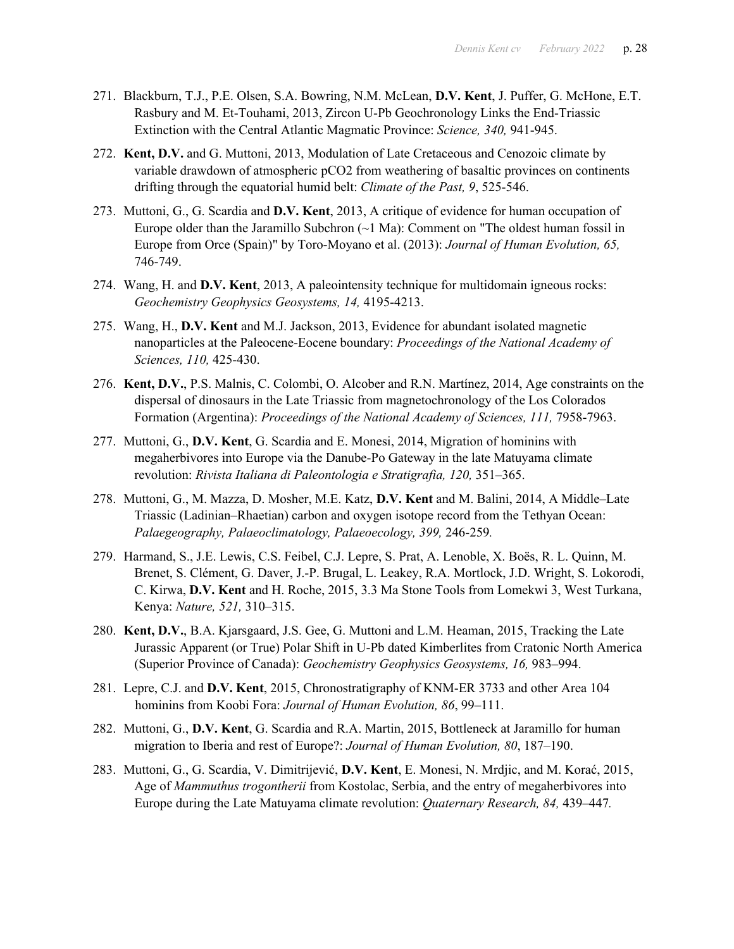- 271. Blackburn, T.J., P.E. Olsen, S.A. Bowring, N.M. McLean, **D.V. Kent**, J. Puffer, G. McHone, E.T. Rasbury and M. Et-Touhami, 2013, Zircon U-Pb Geochronology Links the End-Triassic Extinction with the Central Atlantic Magmatic Province: *Science, 340,* 941-945.
- 272. **Kent, D.V.** and G. Muttoni, 2013, Modulation of Late Cretaceous and Cenozoic climate by variable drawdown of atmospheric pCO2 from weathering of basaltic provinces on continents drifting through the equatorial humid belt: *Climate of the Past, 9*, 525-546.
- 273. Muttoni, G., G. Scardia and **D.V. Kent**, 2013, A critique of evidence for human occupation of Europe older than the Jaramillo Subchron  $(\sim 1 \text{ Ma})$ : Comment on "The oldest human fossil in Europe from Orce (Spain)" by Toro-Moyano et al. (2013): *Journal of Human Evolution, 65,* 746-749.
- 274. Wang, H. and **D.V. Kent**, 2013, A paleointensity technique for multidomain igneous rocks: *Geochemistry Geophysics Geosystems, 14,* 4195-4213.
- 275. Wang, H., **D.V. Kent** and M.J. Jackson, 2013, Evidence for abundant isolated magnetic nanoparticles at the Paleocene-Eocene boundary: *Proceedings of the National Academy of Sciences, 110,* 425-430.
- 276. **Kent, D.V.**, P.S. Malnis, C. Colombi, O. Alcober and R.N. Martínez, 2014, Age constraints on the dispersal of dinosaurs in the Late Triassic from magnetochronology of the Los Colorados Formation (Argentina): *Proceedings of the National Academy of Sciences, 111,* 7958-7963.
- 277. Muttoni, G., **D.V. Kent**, G. Scardia and E. Monesi, 2014, Migration of hominins with megaherbivores into Europe via the Danube-Po Gateway in the late Matuyama climate revolution: *Rivista Italiana di Paleontologia e Stratigrafia, 120,* 351–365.
- 278. Muttoni, G., M. Mazza, D. Mosher, M.E. Katz, **D.V. Kent** and M. Balini, 2014, A Middle–Late Triassic (Ladinian–Rhaetian) carbon and oxygen isotope record from the Tethyan Ocean: *Palaegeography, Palaeoclimatology, Palaeoecology, 399,* 246-259*.*
- 279. Harmand, S., J.E. Lewis, C.S. Feibel, C.J. Lepre, S. Prat, A. Lenoble, X. Boës, R. L. Quinn, M. Brenet, S. Clément, G. Daver, J.-P. Brugal, L. Leakey, R.A. Mortlock, J.D. Wright, S. Lokorodi, C. Kirwa, **D.V. Kent** and H. Roche, 2015, 3.3 Ma Stone Tools from Lomekwi 3, West Turkana, Kenya: *Nature, 521,* 310–315.
- 280. **Kent, D.V.**, B.A. Kjarsgaard, J.S. Gee, G. Muttoni and L.M. Heaman, 2015, Tracking the Late Jurassic Apparent (or True) Polar Shift in U-Pb dated Kimberlites from Cratonic North America (Superior Province of Canada): *Geochemistry Geophysics Geosystems, 16,* 983–994.
- 281. Lepre, C.J. and **D.V. Kent**, 2015, Chronostratigraphy of KNM-ER 3733 and other Area 104 hominins from Koobi Fora: *Journal of Human Evolution, 86*, 99–111.
- 282. Muttoni, G., **D.V. Kent**, G. Scardia and R.A. Martin, 2015, Bottleneck at Jaramillo for human migration to Iberia and rest of Europe?: *Journal of Human Evolution, 80*, 187–190.
- 283. Muttoni, G., G. Scardia, V. Dimitrijević, **D.V. Kent**, E. Monesi, N. Mrdjic, and M. Korać, 2015, Age of *Mammuthus trogontherii* from Kostolac, Serbia, and the entry of megaherbivores into Europe during the Late Matuyama climate revolution: *Quaternary Research, 84,* 439–447*.*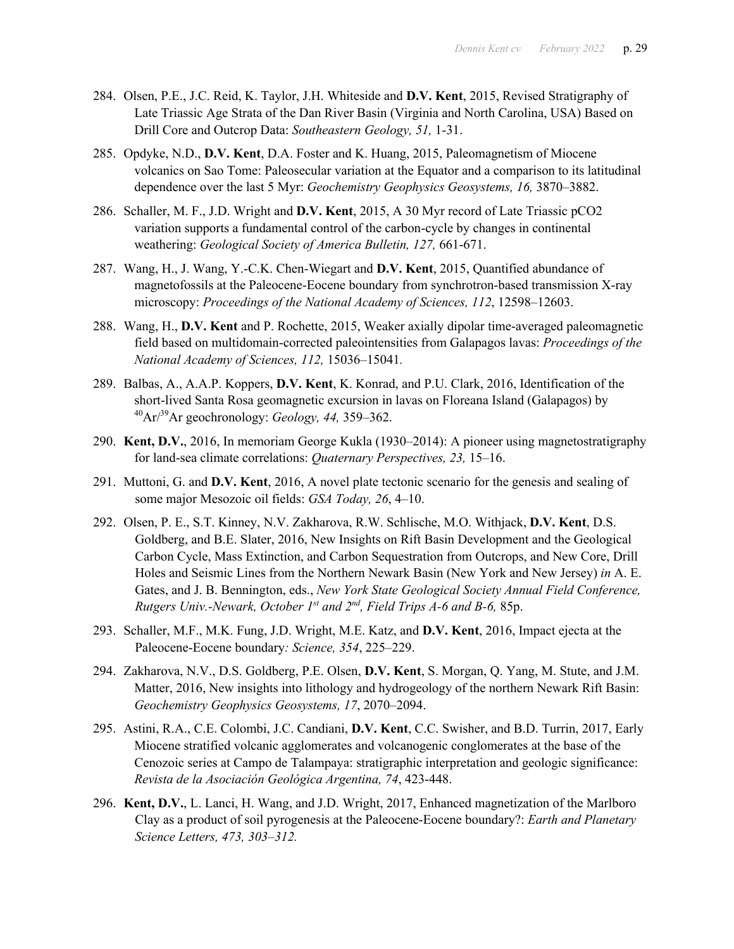- 284. Olsen, P.E., J.C. Reid, K. Taylor, J.H. Whiteside and **D.V. Kent**, 2015, Revised Stratigraphy of Late Triassic Age Strata of the Dan River Basin (Virginia and North Carolina, USA) Based on Drill Core and Outcrop Data: *Southeastern Geology, 51,* 1-31.
- 285. Opdyke, N.D., **D.V. Kent**, D.A. Foster and K. Huang, 2015, Paleomagnetism of Miocene volcanics on Sao Tome: Paleosecular variation at the Equator and a comparison to its latitudinal dependence over the last 5 Myr: *Geochemistry Geophysics Geosystems, 16,* 3870–3882.
- 286. Schaller, M. F., J.D. Wright and **D.V. Kent**, 2015, A 30 Myr record of Late Triassic pCO2 variation supports a fundamental control of the carbon-cycle by changes in continental weathering: *Geological Society of America Bulletin, 127,* 661-671.
- 287. Wang, H., J. Wang, Y.-C.K. Chen-Wiegart and **D.V. Kent**, 2015, Quantified abundance of magnetofossils at the Paleocene-Eocene boundary from synchrotron-based transmission X-ray microscopy: *Proceedings of the National Academy of Sciences, 112*, 12598–12603.
- 288. Wang, H., **D.V. Kent** and P. Rochette, 2015, Weaker axially dipolar time-averaged paleomagnetic field based on multidomain-corrected paleointensities from Galapagos lavas: *Proceedings of the National Academy of Sciences, 112,* 15036–15041*.*
- 289. Balbas, A., A.A.P. Koppers, **D.V. Kent**, K. Konrad, and P.U. Clark, 2016, Identification of the short-lived Santa Rosa geomagnetic excursion in lavas on Floreana Island (Galapagos) by 40Ar/39Ar geochronology: *Geology, 44,* 359–362.
- 290. **Kent, D.V.**, 2016, In memoriam George Kukla (1930–2014): A pioneer using magnetostratigraphy for land-sea climate correlations: *Quaternary Perspectives, 23,* 15–16.
- 291. Muttoni, G. and **D.V. Kent**, 2016, A novel plate tectonic scenario for the genesis and sealing of some major Mesozoic oil fields: *GSA Today, 26*, 4–10.
- 292. Olsen, P. E., S.T. Kinney, N.V. Zakharova, R.W. Schlische, M.O. Withjack, **D.V. Kent**, D.S. Goldberg, and B.E. Slater, 2016, New Insights on Rift Basin Development and the Geological Carbon Cycle, Mass Extinction, and Carbon Sequestration from Outcrops, and New Core, Drill Holes and Seismic Lines from the Northern Newark Basin (New York and New Jersey) *in* A. E. Gates, and J. B. Bennington, eds., *New York State Geological Society Annual Field Conference, Rutgers Univ.-Newark, October 1st and 2nd, Field Trips A-6 and B-6,* 85p.
- 293. Schaller, M.F., M.K. Fung, J.D. Wright, M.E. Katz, and **D.V. Kent**, 2016, Impact ejecta at the Paleocene-Eocene boundary*: Science, 354*, 225–229.
- 294. Zakharova, N.V., D.S. Goldberg, P.E. Olsen, **D.V. Kent**, S. Morgan, Q. Yang, M. Stute, and J.M. Matter, 2016, New insights into lithology and hydrogeology of the northern Newark Rift Basin: *Geochemistry Geophysics Geosystems, 17*, 2070–2094.
- 295. Astini, R.A., C.E. Colombi, J.C. Candiani, **D.V. Kent**, C.C. Swisher, and B.D. Turrin, 2017, Early Miocene stratified volcanic agglomerates and volcanogenic conglomerates at the base of the Cenozoic series at Campo de Talampaya: stratigraphic interpretation and geologic significance: *Revista de la Asociación Geológica Argentina, 74*, 423-448.
- 296. **Kent, D.V.**, L. Lanci, H. Wang, and J.D. Wright, 2017, Enhanced magnetization of the Marlboro Clay as a product of soil pyrogenesis at the Paleocene-Eocene boundary?: *Earth and Planetary Science Letters, 473, 303–312.*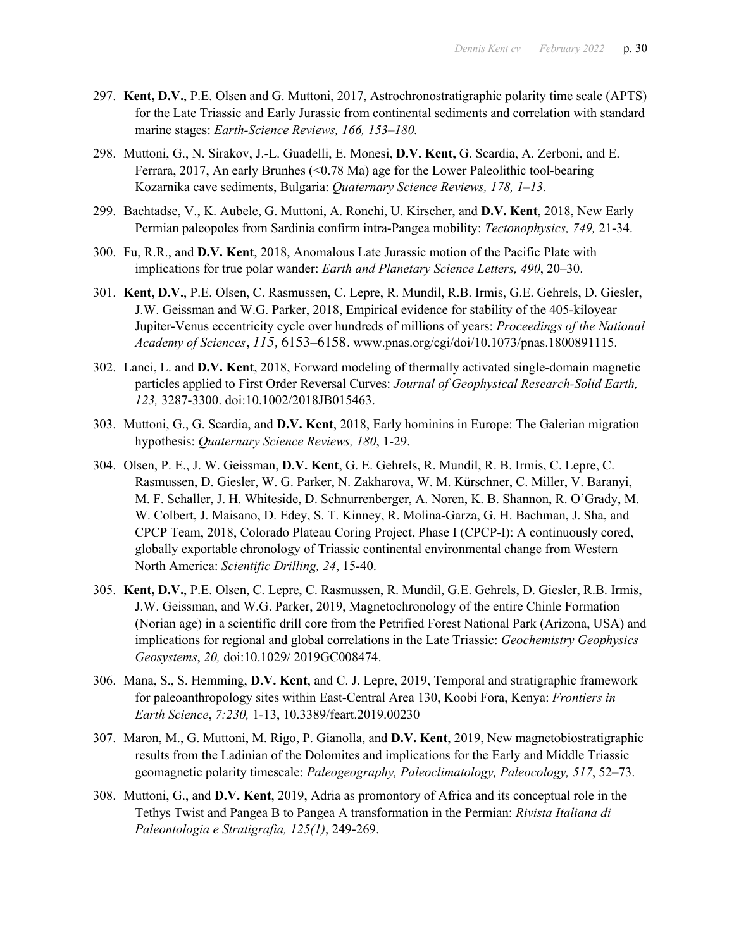- 297. **Kent, D.V.**, P.E. Olsen and G. Muttoni, 2017, Astrochronostratigraphic polarity time scale (APTS) for the Late Triassic and Early Jurassic from continental sediments and correlation with standard marine stages: *Earth-Science Reviews, 166, 153–180.*
- 298. Muttoni, G., N. Sirakov, J.-L. Guadelli, E. Monesi, **D.V. Kent,** G. Scardia, A. Zerboni, and E. Ferrara, 2017, An early Brunhes (<0.78 Ma) age for the Lower Paleolithic tool-bearing Kozarnika cave sediments, Bulgaria: *Quaternary Science Reviews, 178, 1–13.*
- 299. Bachtadse, V., K. Aubele, G. Muttoni, A. Ronchi, U. Kirscher, and **D.V. Kent**, 2018, New Early Permian paleopoles from Sardinia confirm intra-Pangea mobility: *Tectonophysics, 749,* 21-34.
- 300. Fu, R.R., and **D.V. Kent**, 2018, Anomalous Late Jurassic motion of the Pacific Plate with implications for true polar wander: *Earth and Planetary Science Letters, 490*, 20–30.
- 301. **Kent, D.V.**, P.E. Olsen, C. Rasmussen, C. Lepre, R. Mundil, R.B. Irmis, G.E. Gehrels, D. Giesler, J.W. Geissman and W.G. Parker, 2018, Empirical evidence for stability of the 405-kiloyear Jupiter-Venus eccentricity cycle over hundreds of millions of years: *Proceedings of the National Academy of Sciences*, *115,* 6153–6158. www.pnas.org/cgi/doi/10.1073/pnas.1800891115.
- 302. Lanci, L. and **D.V. Kent**, 2018, Forward modeling of thermally activated single-domain magnetic particles applied to First Order Reversal Curves: *Journal of Geophysical Research-Solid Earth, 123,* 3287-3300. doi:10.1002/2018JB015463.
- 303. Muttoni, G., G. Scardia, and **D.V. Kent**, 2018, Early hominins in Europe: The Galerian migration hypothesis: *Quaternary Science Reviews, 180*, 1-29.
- 304. Olsen, P. E., J. W. Geissman, **D.V. Kent**, G. E. Gehrels, R. Mundil, R. B. Irmis, C. Lepre, C. Rasmussen, D. Giesler, W. G. Parker, N. Zakharova, W. M. Kürschner, C. Miller, V. Baranyi, M. F. Schaller, J. H. Whiteside, D. Schnurrenberger, A. Noren, K. B. Shannon, R. O'Grady, M. W. Colbert, J. Maisano, D. Edey, S. T. Kinney, R. Molina-Garza, G. H. Bachman, J. Sha, and CPCP Team, 2018, Colorado Plateau Coring Project, Phase I (CPCP-I): A continuously cored, globally exportable chronology of Triassic continental environmental change from Western North America: *Scientific Drilling, 24*, 15-40.
- 305. **Kent, D.V.**, P.E. Olsen, C. Lepre, C. Rasmussen, R. Mundil, G.E. Gehrels, D. Giesler, R.B. Irmis, J.W. Geissman, and W.G. Parker, 2019, Magnetochronology of the entire Chinle Formation (Norian age) in a scientific drill core from the Petrified Forest National Park (Arizona, USA) and implications for regional and global correlations in the Late Triassic: *Geochemistry Geophysics Geosystems*, *20,* doi:10.1029/ 2019GC008474.
- 306. Mana, S., S. Hemming, **D.V. Kent**, and C. J. Lepre, 2019, Temporal and stratigraphic framework for paleoanthropology sites within East-Central Area 130, Koobi Fora, Kenya: *Frontiers in Earth Science*, *7:230,* 1-13, 10.3389/feart.2019.00230
- 307. Maron, M., G. Muttoni, M. Rigo, P. Gianolla, and **D.V. Kent**, 2019, New magnetobiostratigraphic results from the Ladinian of the Dolomites and implications for the Early and Middle Triassic geomagnetic polarity timescale: *Paleogeography, Paleoclimatology, Paleocology, 517*, 52–73.
- 308. Muttoni, G., and **D.V. Kent**, 2019, Adria as promontory of Africa and its conceptual role in the Tethys Twist and Pangea B to Pangea A transformation in the Permian: *Rivista Italiana di Paleontologia e Stratigrafia, 125(1)*, 249-269.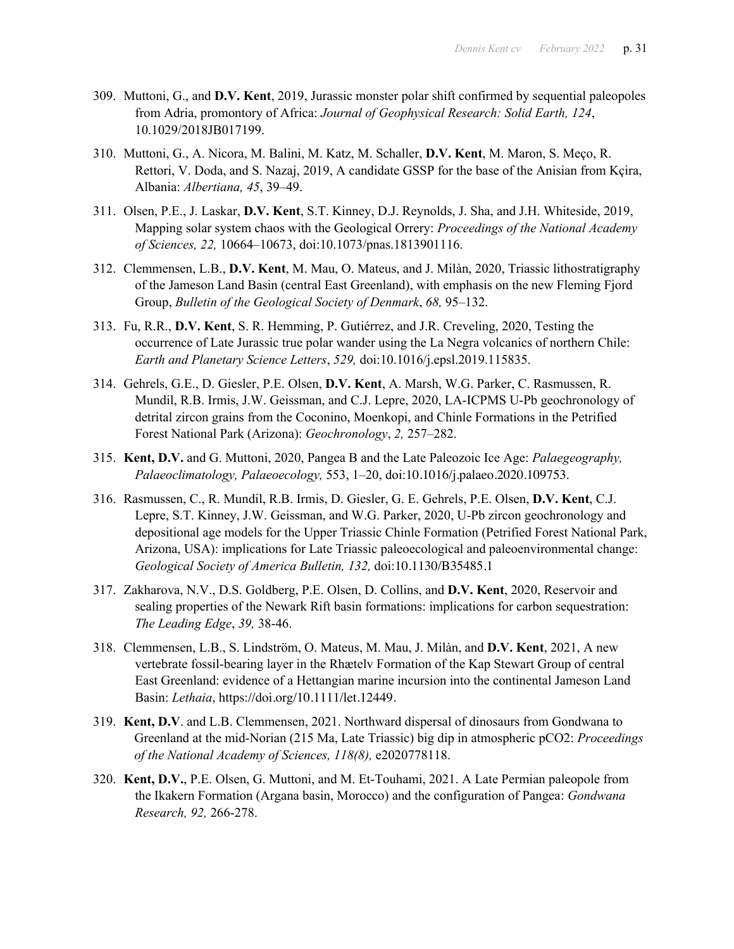- 309. Muttoni, G., and **D.V. Kent**, 2019, Jurassic monster polar shift confirmed by sequential paleopoles from Adria, promontory of Africa: *Journal of Geophysical Research: Solid Earth, 124*, 10.1029/2018JB017199.
- 310. Muttoni, G., A. Nicora, M. Balini, M. Katz, M. Schaller, **D.V. Kent**, M. Maron, S. Meço, R. Rettori, V. Doda, and S. Nazaj, 2019, A candidate GSSP for the base of the Anisian from Kçira, Albania: *Albertiana, 45*, 39–49.
- 311. Olsen, P.E., J. Laskar, **D.V. Kent**, S.T. Kinney, D.J. Reynolds, J. Sha, and J.H. Whiteside, 2019, Mapping solar system chaos with the Geological Orrery: *Proceedings of the National Academy of Sciences, 22,* 10664–10673, doi:10.1073/pnas.1813901116.
- 312. Clemmensen, L.B., **D.V. Kent**, M. Mau, O. Mateus, and J. Milàn, 2020, Triassic lithostratigraphy of the Jameson Land Basin (central East Greenland), with emphasis on the new Fleming Fjord Group, *Bulletin of the Geological Society of Denmark*, *68,* 95–132.
- 313. Fu, R.R., **D.V. Kent**, S. R. Hemming, P. Gutiérrez, and J.R. Creveling, 2020, Testing the occurrence of Late Jurassic true polar wander using the La Negra volcanics of northern Chile: *Earth and Planetary Science Letters*, *529,* doi:10.1016/j.epsl.2019.115835.
- 314. Gehrels, G.E., D. Giesler, P.E. Olsen, **D.V. Kent**, A. Marsh, W.G. Parker, C. Rasmussen, R. Mundil, R.B. Irmis, J.W. Geissman, and C.J. Lepre, 2020, LA-ICPMS U-Pb geochronology of detrital zircon grains from the Coconino, Moenkopi, and Chinle Formations in the Petrified Forest National Park (Arizona): *Geochronology*, *2,* 257–282.
- 315. **Kent, D.V.** and G. Muttoni, 2020, Pangea B and the Late Paleozoic Ice Age: *Palaegeography, Palaeoclimatology, Palaeoecology,* 553, 1–20, doi:10.1016/j.palaeo.2020.109753.
- 316. Rasmussen, C., R. Mundil, R.B. Irmis, D. Giesler, G. E. Gehrels, P.E. Olsen, **D.V. Kent**, C.J. Lepre, S.T. Kinney, J.W. Geissman, and W.G. Parker, 2020, U-Pb zircon geochronology and depositional age models for the Upper Triassic Chinle Formation (Petrified Forest National Park, Arizona, USA): implications for Late Triassic paleoecological and paleoenvironmental change: *Geological Society of America Bulletin, 132,* doi:10.1130/B35485.1
- 317. Zakharova, N.V., D.S. Goldberg, P.E. Olsen, D. Collins, and **D.V. Kent**, 2020, Reservoir and sealing properties of the Newark Rift basin formations: implications for carbon sequestration: *The Leading Edge*, *39,* 38-46.
- 318. Clemmensen, L.B., S. Lindström, O. Mateus, M. Mau, J. Milàn, and **D.V. Kent**, 2021, A new vertebrate fossil-bearing layer in the Rhætelv Formation of the Kap Stewart Group of central East Greenland: evidence of a Hettangian marine incursion into the continental Jameson Land Basin: *Lethaia*, https://doi.org/10.1111/let.12449.
- 319. **Kent, D.V**. and L.B. Clemmensen, 2021. Northward dispersal of dinosaurs from Gondwana to Greenland at the mid-Norian (215 Ma, Late Triassic) big dip in atmospheric pCO2: *Proceedings of the National Academy of Sciences, 118(8),* e2020778118.
- 320. **Kent, D.V.**, P.E. Olsen, G. Muttoni, and M. Et-Touhami, 2021. A Late Permian paleopole from the Ikakern Formation (Argana basin, Morocco) and the configuration of Pangea: *Gondwana Research, 92,* 266-278.